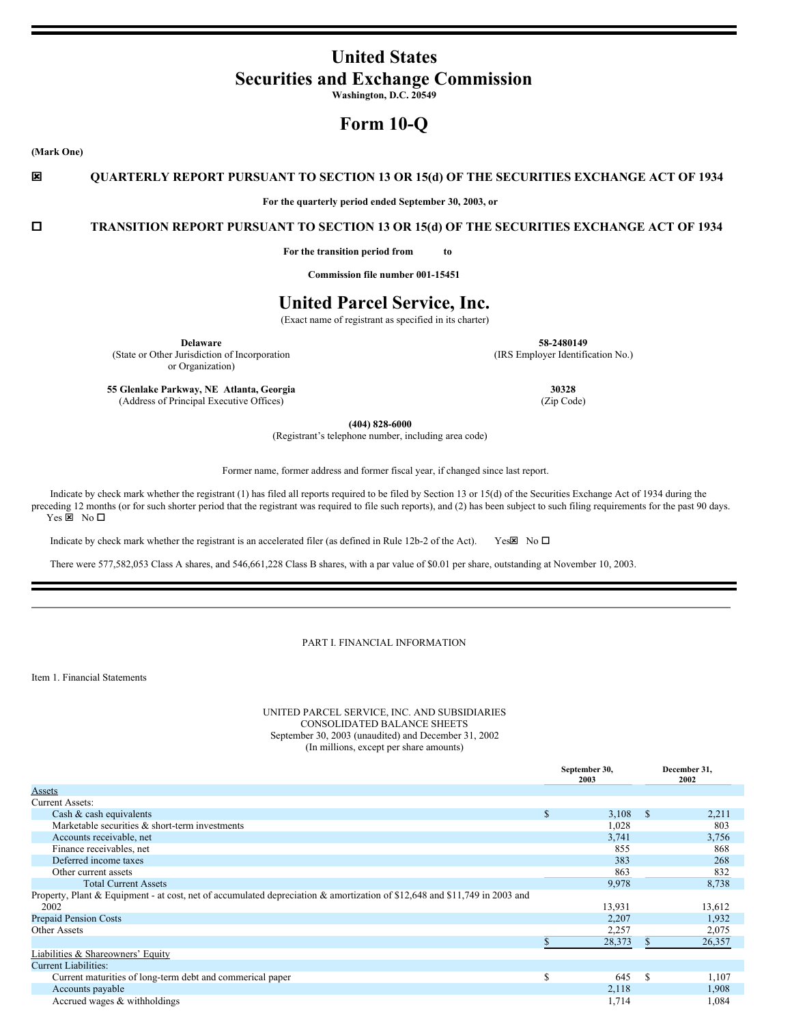# **United States Securities and Exchange Commission**

**Washington, D.C. 20549**

# **Form 10-Q**

**(Mark One)**

ý **QUARTERLY REPORT PURSUANT TO SECTION 13 OR 15(d) OF THE SECURITIES EXCHANGE ACT OF 1934**

**For the quarterly period ended September 30, 2003, or**

o **TRANSITION REPORT PURSUANT TO SECTION 13 OR 15(d) OF THE SECURITIES EXCHANGE ACT OF 1934**

**For the transition period from to**

**Commission file number 001-15451**

# **United Parcel Service, Inc.**

(Exact name of registrant as specified in its charter)

(State or Other Jurisdiction of Incorporation or Organization)

**Delaware 58-2480149**<br> **1989 58-2480149**<br> **1989 58-2480149**<br> **1989 58-2480149**<br> **1989 58-2480149** 

**55 Glenlake Parkway, NE Atlanta, Georgia 30328** (Address of Principal Executive Offices) (Zip Code)

**(404) 828-6000**

(Registrant's telephone number, including area code)

Former name, former address and former fiscal year, if changed since last report.

Indicate by check mark whether the registrant (1) has filed all reports required to be filed by Section 13 or 15(d) of the Securities Exchange Act of 1934 during the preceding 12 months (or for such shorter period that the registrant was required to file such reports), and (2) has been subject to such filing requirements for the past 90 days. Yes  $\overline{\mathbf{x}}$  No  $\Box$ 

Indicate by check mark whether the registrant is an accelerated filer (as defined in Rule 12b-2 of the Act). Yes $\boxtimes$  No  $\square$ 

There were 577,582,053 Class A shares, and 546,661,228 Class B shares, with a par value of \$0.01 per share, outstanding at November 10, 2003.

# PART I. FINANCIAL INFORMATION

Item 1. Financial Statements

# UNITED PARCEL SERVICE, INC. AND SUBSIDIARIES CONSOLIDATED BALANCE SHEETS September 30, 2003 (unaudited) and December 31, 2002 (In millions, except per share amounts)

|                                                                                                                            | September 30,<br>2003 |        |      | December 31,<br>2002 |
|----------------------------------------------------------------------------------------------------------------------------|-----------------------|--------|------|----------------------|
| Assets                                                                                                                     |                       |        |      |                      |
| <b>Current Assets:</b>                                                                                                     |                       |        |      |                      |
| Cash & cash equivalents                                                                                                    | $\mathbf{s}$          | 3,108  | - \$ | 2,211                |
| Marketable securities & short-term investments                                                                             |                       | 1,028  |      | 803                  |
| Accounts receivable, net                                                                                                   |                       | 3,741  |      | 3,756                |
| Finance receivables, net                                                                                                   |                       | 855    |      | 868                  |
| Deferred income taxes                                                                                                      |                       | 383    |      | 268                  |
| Other current assets                                                                                                       |                       | 863    |      | 832                  |
| <b>Total Current Assets</b>                                                                                                |                       | 9,978  |      | 8,738                |
| Property, Plant & Equipment - at cost, net of accumulated depreciation & amortization of \$12,648 and \$11,749 in 2003 and |                       |        |      |                      |
| 2002                                                                                                                       |                       | 13,931 |      | 13,612               |
| <b>Prepaid Pension Costs</b>                                                                                               |                       | 2,207  |      | 1,932                |
| Other Assets                                                                                                               |                       | 2,257  |      | 2,075                |
|                                                                                                                            |                       | 28,373 |      | 26,357               |
| Liabilities & Shareowners' Equity                                                                                          |                       |        |      |                      |
| <b>Current Liabilities:</b>                                                                                                |                       |        |      |                      |
| Current maturities of long-term debt and commerical paper                                                                  | S                     | 645    | -S   | 1,107                |
| Accounts payable                                                                                                           |                       | 2,118  |      | 1,908                |
| Accrued wages & withholdings                                                                                               |                       | 1,714  |      | 1,084                |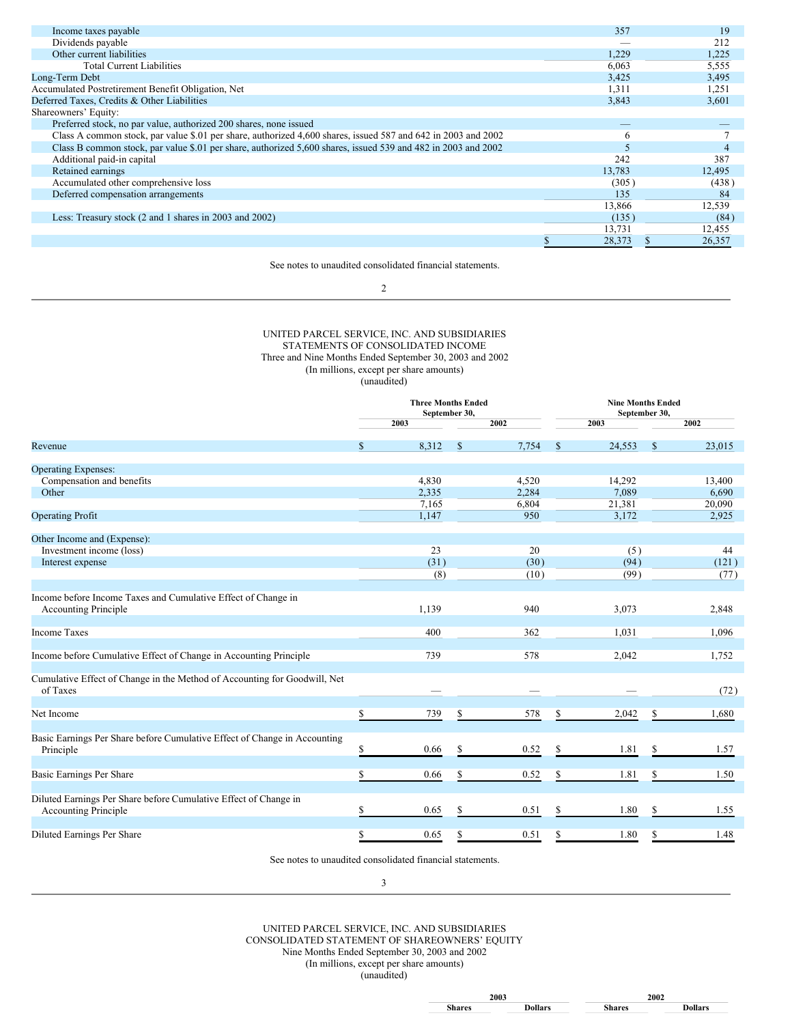| Income taxes payable                                                                                          | 357    | 19     |
|---------------------------------------------------------------------------------------------------------------|--------|--------|
| Dividends payable                                                                                             |        | 212    |
| Other current liabilities                                                                                     | 1,229  | 1,225  |
| <b>Total Current Liabilities</b>                                                                              | 6,063  | 5,555  |
| Long-Term Debt                                                                                                | 3,425  | 3,495  |
| Accumulated Postretirement Benefit Obligation, Net                                                            | 1,311  | 1,251  |
| Deferred Taxes, Credits & Other Liabilities                                                                   | 3,843  | 3,601  |
| Shareowners' Equity:                                                                                          |        |        |
| Preferred stock, no par value, authorized 200 shares, none issued                                             |        |        |
| Class A common stock, par value \$.01 per share, authorized 4,600 shares, issued 587 and 642 in 2003 and 2002 |        |        |
| Class B common stock, par value \$.01 per share, authorized 5,600 shares, issued 539 and 482 in 2003 and 2002 |        |        |
| Additional paid-in capital                                                                                    | 242    | 387    |
| Retained earnings                                                                                             | 13.783 | 12,495 |
| Accumulated other comprehensive loss                                                                          | (305)  | (438)  |
| Deferred compensation arrangements                                                                            | 135    | 84     |
|                                                                                                               | 13,866 | 12,539 |
| Less: Treasury stock (2 and 1 shares in 2003 and 2002)                                                        | (135)  | (84)   |
|                                                                                                               | 13,731 | 12,455 |
|                                                                                                               | 28,373 | 26,357 |
|                                                                                                               |        |        |

See notes to unaudited consolidated financial statements.

2

### UNITED PARCEL SERVICE, INC. AND SUBSIDIARIES STATEMENTS OF CONSOLIDATED INCOME Three and Nine Months Ended September 30, 2003 and 2002 (In millions, except per share amounts) (unaudited)

|                                                                                                 | <b>Three Months Ended</b><br>September 30, |       |    |       | <b>Nine Months Ended</b><br>September 30, |        |    |        |
|-------------------------------------------------------------------------------------------------|--------------------------------------------|-------|----|-------|-------------------------------------------|--------|----|--------|
|                                                                                                 |                                            | 2003  |    | 2002  |                                           | 2003   |    | 2002   |
| Revenue                                                                                         | <sup>\$</sup>                              | 8,312 | \$ | 7,754 | $\$$                                      | 24,553 | \$ | 23,015 |
| <b>Operating Expenses:</b>                                                                      |                                            |       |    |       |                                           |        |    |        |
| Compensation and benefits                                                                       |                                            | 4,830 |    | 4,520 |                                           | 14,292 |    | 13,400 |
| Other                                                                                           |                                            | 2,335 |    | 2,284 |                                           | 7,089  |    | 6,690  |
|                                                                                                 |                                            | 7,165 |    | 6,804 |                                           | 21,381 |    | 20,090 |
| <b>Operating Profit</b>                                                                         |                                            | 1,147 |    | 950   |                                           | 3,172  |    | 2,925  |
| Other Income and (Expense):                                                                     |                                            |       |    |       |                                           |        |    |        |
| Investment income (loss)                                                                        |                                            | 23    |    | 20    |                                           | (5)    |    | 44     |
| Interest expense                                                                                |                                            | (31)  |    | (30)  |                                           | (94)   |    | (121)  |
|                                                                                                 |                                            | (8)   |    | (10)  |                                           | (99)   |    | (77)   |
| Income before Income Taxes and Cumulative Effect of Change in                                   |                                            |       |    |       |                                           |        |    |        |
| <b>Accounting Principle</b>                                                                     |                                            | 1,139 |    | 940   |                                           | 3,073  |    | 2,848  |
| <b>Income Taxes</b>                                                                             |                                            | 400   |    | 362   |                                           | 1,031  |    |        |
|                                                                                                 |                                            |       |    |       |                                           |        |    | 1,096  |
| Income before Cumulative Effect of Change in Accounting Principle                               |                                            | 739   |    | 578   |                                           | 2,042  |    | 1,752  |
|                                                                                                 |                                            |       |    |       |                                           |        |    |        |
| Cumulative Effect of Change in the Method of Accounting for Goodwill, Net<br>of Taxes           |                                            |       |    |       |                                           |        |    | (72)   |
|                                                                                                 |                                            |       |    |       |                                           |        |    |        |
| Net Income                                                                                      | S                                          | 739   | \$ | 578   | \$                                        | 2,042  | \$ | 1,680  |
|                                                                                                 |                                            |       |    |       |                                           |        |    |        |
| Basic Earnings Per Share before Cumulative Effect of Change in Accounting<br>Principle          | S                                          | 0.66  | \$ | 0.52  | \$                                        | 1.81   | \$ | 1.57   |
|                                                                                                 |                                            |       |    |       |                                           |        |    |        |
| Basic Earnings Per Share                                                                        |                                            | 0.66  | \$ | 0.52  | \$                                        | 1.81   | \$ | 1.50   |
|                                                                                                 |                                            |       |    |       |                                           |        |    |        |
| Diluted Earnings Per Share before Cumulative Effect of Change in<br><b>Accounting Principle</b> | <b>S</b>                                   | 0.65  | \$ | 0.51  | \$                                        | 1.80   | \$ | 1.55   |
|                                                                                                 |                                            |       |    |       |                                           |        |    |        |
| <b>Diluted Earnings Per Share</b>                                                               | S                                          | 0.65  | S  | 0.51  | \$                                        | 1.80   | \$ | 1.48   |

See notes to unaudited consolidated financial statements.

3

UNITED PARCEL SERVICE, INC. AND SUBSIDIARIES CONSOLIDATED STATEMENT OF SHAREOWNERS' EQUITY Nine Months Ended September 30, 2003 and 2002 (In millions, except per share amounts)

(unaudited)

|               | 2003           | 2002          |                |
|---------------|----------------|---------------|----------------|
| <b>Shares</b> | <b>Dollars</b> | <b>Shares</b> | <b>Dollars</b> |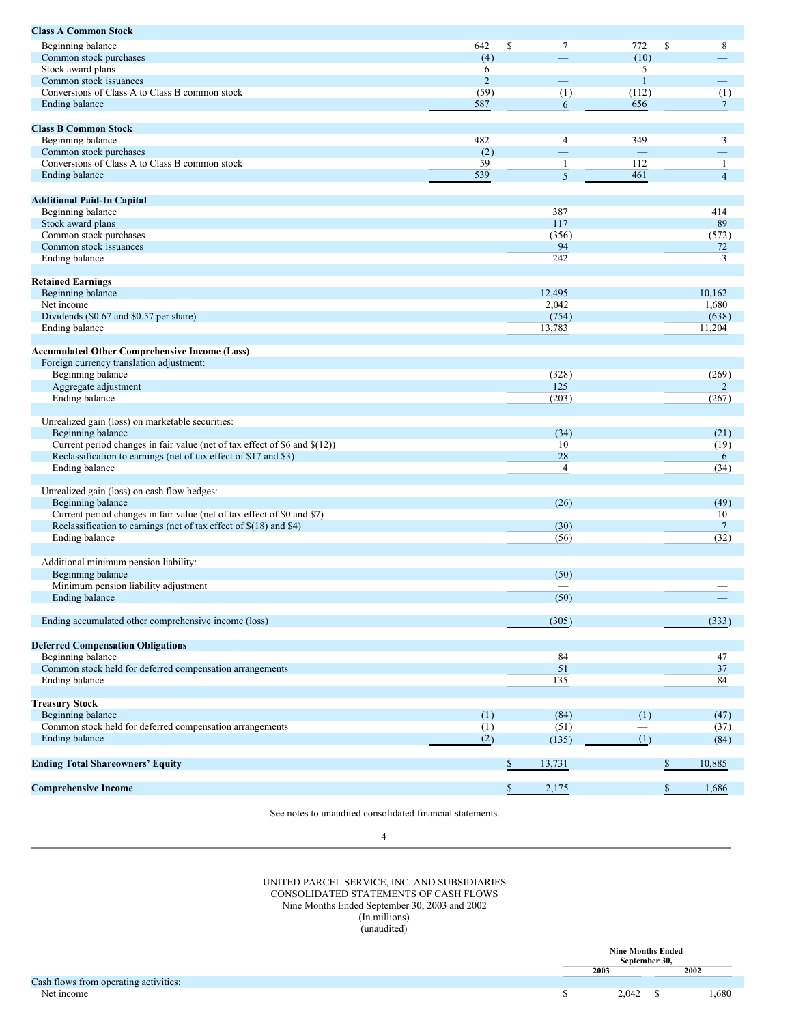| <b>Class A Common Stock</b>                                                                                                                   |                  |                          |                          |                          |
|-----------------------------------------------------------------------------------------------------------------------------------------------|------------------|--------------------------|--------------------------|--------------------------|
| Beginning balance                                                                                                                             | 642              | \$<br>$\tau$             | 772                      | \$<br>8                  |
| Common stock purchases                                                                                                                        | (4)              |                          | (10)                     |                          |
| Stock award plans                                                                                                                             | 6                |                          | 5                        |                          |
| Common stock issuances                                                                                                                        | $\overline{2}$   | $\overline{\phantom{0}}$ | $\mathbf{1}$             | $\overline{\phantom{0}}$ |
| Conversions of Class A to Class B common stock                                                                                                | (59)             | (1)                      | (112)                    | (1)                      |
| Ending balance                                                                                                                                | 587              | 6                        | 656                      | $\overline{7}$           |
|                                                                                                                                               |                  |                          |                          |                          |
| <b>Class B Common Stock</b>                                                                                                                   |                  |                          |                          |                          |
| Beginning balance                                                                                                                             | 482              | 4                        | 349                      | 3                        |
| Common stock purchases                                                                                                                        | (2)              | $\qquad \qquad$          | $\equiv$                 |                          |
| Conversions of Class A to Class B common stock<br>Ending balance                                                                              | 59<br>539        | $\mathbf{1}$<br>5        | 112<br>461               | -1<br>$\overline{4}$     |
|                                                                                                                                               |                  |                          |                          |                          |
| <b>Additional Paid-In Capital</b>                                                                                                             |                  |                          |                          |                          |
| Beginning balance                                                                                                                             |                  | 387                      |                          | 414                      |
| Stock award plans                                                                                                                             |                  | 117                      |                          | 89                       |
| Common stock purchases                                                                                                                        |                  | (356)                    |                          | (572)                    |
| Common stock issuances                                                                                                                        |                  | 94                       |                          | 72                       |
| Ending balance                                                                                                                                |                  | 242                      |                          | 3                        |
| <b>Retained Earnings</b>                                                                                                                      |                  |                          |                          |                          |
| Beginning balance                                                                                                                             |                  | 12,495                   |                          | 10,162                   |
| Net income                                                                                                                                    |                  | 2,042                    |                          | 1,680                    |
| Dividends (\$0.67 and \$0.57 per share)                                                                                                       |                  | (754)                    |                          | (638)                    |
| Ending balance                                                                                                                                |                  | 13,783                   |                          | 11,204                   |
|                                                                                                                                               |                  |                          |                          |                          |
| <b>Accumulated Other Comprehensive Income (Loss)</b>                                                                                          |                  |                          |                          |                          |
| Foreign currency translation adjustment:                                                                                                      |                  |                          |                          |                          |
| Beginning balance                                                                                                                             |                  | (328)                    |                          | (269)                    |
| Aggregate adjustment                                                                                                                          |                  | 125                      |                          | $\overline{c}$           |
| Ending balance                                                                                                                                |                  | (203)                    |                          | (267)                    |
| Unrealized gain (loss) on marketable securities:                                                                                              |                  |                          |                          |                          |
| Beginning balance                                                                                                                             |                  | (34)                     |                          | (21)                     |
| Current period changes in fair value (net of tax effect of \$6 and \$(12))                                                                    |                  | 10                       |                          | (19)                     |
| Reclassification to earnings (net of tax effect of \$17 and \$3)                                                                              |                  | 28                       |                          | 6                        |
| Ending balance                                                                                                                                |                  | $\overline{4}$           |                          | (34)                     |
|                                                                                                                                               |                  |                          |                          |                          |
| Unrealized gain (loss) on cash flow hedges:                                                                                                   |                  |                          |                          |                          |
| Beginning balance                                                                                                                             |                  | (26)                     |                          | (49)                     |
| Current period changes in fair value (net of tax effect of \$0 and \$7)<br>Reclassification to earnings (net of tax effect of \$(18) and \$4) |                  | (30)                     |                          | 10<br>$\overline{7}$     |
| Ending balance                                                                                                                                |                  | (56)                     |                          | (32)                     |
|                                                                                                                                               |                  |                          |                          |                          |
| Additional minimum pension liability:                                                                                                         |                  |                          |                          |                          |
| Beginning balance                                                                                                                             |                  | (50)                     |                          |                          |
| Minimum pension liability adjustment                                                                                                          |                  |                          |                          |                          |
| Ending balance                                                                                                                                |                  | (50)                     |                          |                          |
| Ending accumulated other comprehensive income (loss)                                                                                          |                  | (305)                    |                          | (333)                    |
|                                                                                                                                               |                  |                          |                          |                          |
| <b>Deferred Compensation Obligations</b>                                                                                                      |                  |                          |                          |                          |
| Beginning balance                                                                                                                             |                  | 84                       |                          | 47                       |
| Common stock held for deferred compensation arrangements                                                                                      |                  | 51                       |                          | 37                       |
| Ending balance                                                                                                                                |                  | $\overline{135}$         |                          | 84                       |
| <b>Treasury Stock</b>                                                                                                                         |                  |                          |                          |                          |
| Beginning balance                                                                                                                             | (1)              | (84)                     | (1)                      | (47)                     |
| Common stock held for deferred compensation arrangements                                                                                      | (1)              | (51)                     | $\overline{\phantom{0}}$ | (37)                     |
| Ending balance                                                                                                                                | $\overline{(2)}$ | (135)                    | $\overline{(1)}$         | (84)                     |
|                                                                                                                                               |                  |                          |                          |                          |
| <b>Ending Total Shareowners' Equity</b>                                                                                                       |                  | 13,731<br>\$             |                          | 10,885<br>S              |
|                                                                                                                                               |                  |                          |                          |                          |
| <b>Comprehensive Income</b>                                                                                                                   |                  | \$<br>2,175              |                          | 1,686<br>\$              |
|                                                                                                                                               |                  |                          |                          |                          |

See notes to unaudited consolidated financial statements.

4

UNITED PARCEL SERVICE, INC. AND SUBSIDIARIES CONSOLIDATED STATEMENTS OF CASH FLOWS Nine Months Ended September 30, 2003 and 2002 (In millions) (unaudited)

**Nine Months Ended**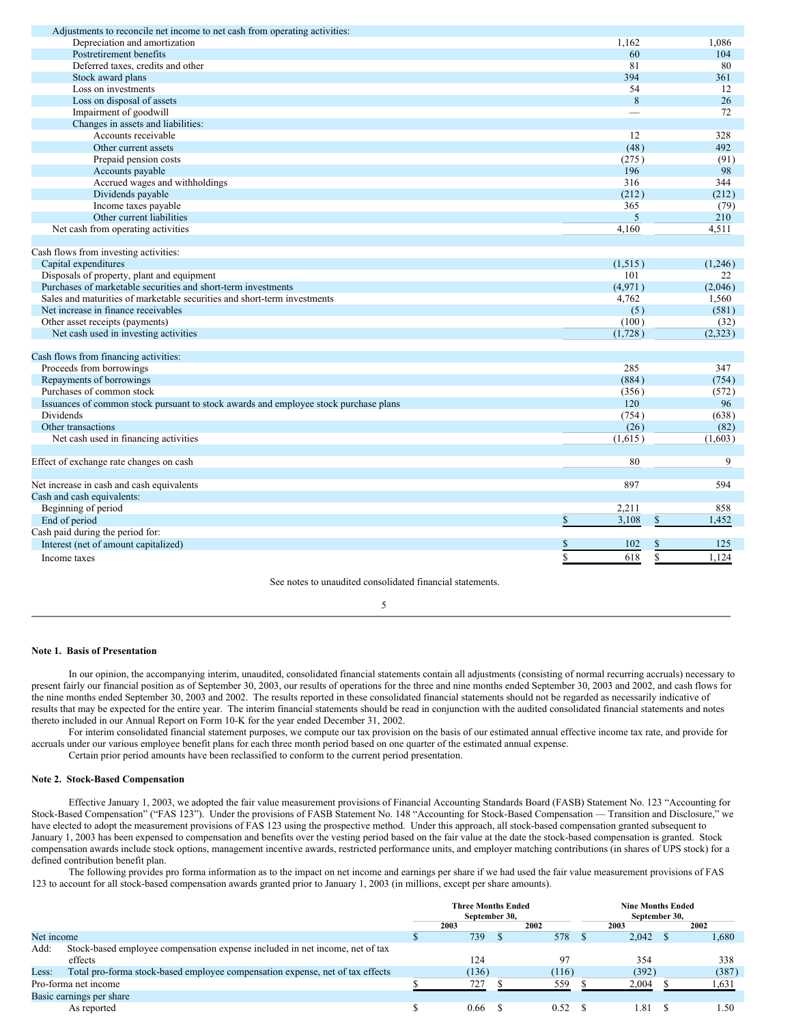| Adjustments to reconcile net income to net cash from operating activities:           |                      |             |
|--------------------------------------------------------------------------------------|----------------------|-------------|
| Depreciation and amortization                                                        | 1,162                | 1,086       |
| Postretirement benefits                                                              | 60                   | 104         |
| Deferred taxes, credits and other                                                    | 81                   | 80          |
| Stock award plans                                                                    | 394                  | 361         |
| Loss on investments                                                                  | 54                   | 12          |
| Loss on disposal of assets                                                           | 8                    | 26          |
| Impairment of goodwill                                                               |                      | 72          |
| Changes in assets and liabilities:                                                   |                      |             |
| Accounts receivable                                                                  | 12                   | 328         |
| Other current assets                                                                 | (48)                 | 492         |
| Prepaid pension costs                                                                | (275)                | (91)        |
| Accounts payable                                                                     | 196                  | 98          |
| Accrued wages and withholdings                                                       | 316                  | 344         |
| Dividends payable                                                                    | (212)                | (212)       |
| Income taxes payable                                                                 | 365                  | (79)        |
| Other current liabilities                                                            | 5                    | 210         |
| Net cash from operating activities                                                   | 4,160                | 4,511       |
|                                                                                      |                      |             |
| Cash flows from investing activities:                                                |                      |             |
| Capital expenditures                                                                 | (1,515)              | (1,246)     |
| Disposals of property, plant and equipment                                           | 101                  | 22          |
| Purchases of marketable securities and short-term investments                        | (4,971)              | (2,046)     |
| Sales and maturities of marketable securities and short-term investments             | 4,762                | 1,560       |
| Net increase in finance receivables                                                  | (5)                  | (581)       |
| Other asset receipts (payments)                                                      | (100)                | (32)        |
| Net cash used in investing activities                                                | (1,728)              | (2, 323)    |
|                                                                                      |                      |             |
| Cash flows from financing activities:                                                |                      |             |
| Proceeds from borrowings                                                             | 285                  | 347         |
| Repayments of borrowings                                                             | (884)                | (754)       |
| Purchases of common stock                                                            | (356)                | (572)       |
| Issuances of common stock pursuant to stock awards and employee stock purchase plans | 120                  | 96          |
| Dividends                                                                            | (754)                | (638)       |
| Other transactions                                                                   | (26)                 | (82)        |
| Net cash used in financing activities                                                | (1,615)              | (1,603)     |
|                                                                                      |                      |             |
| Effect of exchange rate changes on cash                                              | 80                   | 9           |
|                                                                                      |                      |             |
| Net increase in cash and cash equivalents                                            | 897                  | 594         |
| Cash and cash equivalents:                                                           |                      |             |
| Beginning of period                                                                  | 2,211                | 858         |
| End of period                                                                        | 3,108<br>$\mathbf S$ | 1,452<br>\$ |
| Cash paid during the period for:                                                     |                      |             |
| Interest (net of amount capitalized)                                                 | 102<br>S             | 125         |
| Income taxes                                                                         | \$<br>618            | 1.124<br>\$ |
|                                                                                      |                      |             |

See notes to unaudited consolidated financial statements.

## 5

#### **Note 1. Basis of Presentation**

In our opinion, the accompanying interim, unaudited, consolidated financial statements contain all adjustments (consisting of normal recurring accruals) necessary to present fairly our financial position as of September 30, 2003, our results of operations for the three and nine months ended September 30, 2003 and 2002, and cash flows for the nine months ended September 30, 2003 and 2002. The results reported in these consolidated financial statements should not be regarded as necessarily indicative of results that may be expected for the entire year. The interim financial statements should be read in conjunction with the audited consolidated financial statements and notes thereto included in our Annual Report on Form 10-K for the year ended December 31, 2002.

For interim consolidated financial statement purposes, we compute our tax provision on the basis of our estimated annual effective income tax rate, and provide for accruals under our various employee benefit plans for each three month period based on one quarter of the estimated annual expense.

Certain prior period amounts have been reclassified to conform to the current period presentation.

### **Note 2. Stock-Based Compensation**

Effective January 1, 2003, we adopted the fair value measurement provisions of Financial Accounting Standards Board (FASB) Statement No. 123 "Accounting for Stock-Based Compensation" ("FAS 123"). Under the provisions of FASB Statement No. 148 "Accounting for Stock-Based Compensation — Transition and Disclosure," we have elected to adopt the measurement provisions of FAS 123 using the prospective method. Under this approach, all stock-based compensation granted subsequent to January 1, 2003 has been expensed to compensation and benefits over the vesting period based on the fair value at the date the stock-based compensation is granted. Stock compensation awards include stock options, management incentive awards, restricted performance units, and employer matching contributions (in shares of UPS stock) for a defined contribution benefit plan.

The following provides pro forma information as to the impact on net income and earnings per share if we had used the fair value measurement provisions of FAS 123 to account for all stock-based compensation awards granted prior to January 1, 2003 (in millions, except per share amounts).

|            |                                                                               | <b>Three Months Ended</b><br>September 30, |       |  | <b>Nine Months Ended</b><br>September 30, |  |       |  |       |
|------------|-------------------------------------------------------------------------------|--------------------------------------------|-------|--|-------------------------------------------|--|-------|--|-------|
|            |                                                                               |                                            | 2003  |  | 2002                                      |  | 2003  |  | 2002  |
| Net income |                                                                               |                                            | 739   |  | 578                                       |  | 2,042 |  | 1,680 |
| Add:       | Stock-based employee compensation expense included in net income, net of tax  |                                            |       |  |                                           |  |       |  |       |
|            | effects                                                                       |                                            | 124   |  | 97                                        |  | 354   |  | 338   |
| Less:      | Total pro-forma stock-based employee compensation expense, net of tax effects |                                            | (136) |  | (116)                                     |  | (392) |  | (387) |
|            | Pro-forma net income                                                          |                                            | 727   |  | 559                                       |  | 2,004 |  | 1,631 |
|            | Basic earnings per share                                                      |                                            |       |  |                                           |  |       |  |       |
|            | As reported                                                                   |                                            | 0.66  |  | 0.52                                      |  | 1.81  |  | 1.50  |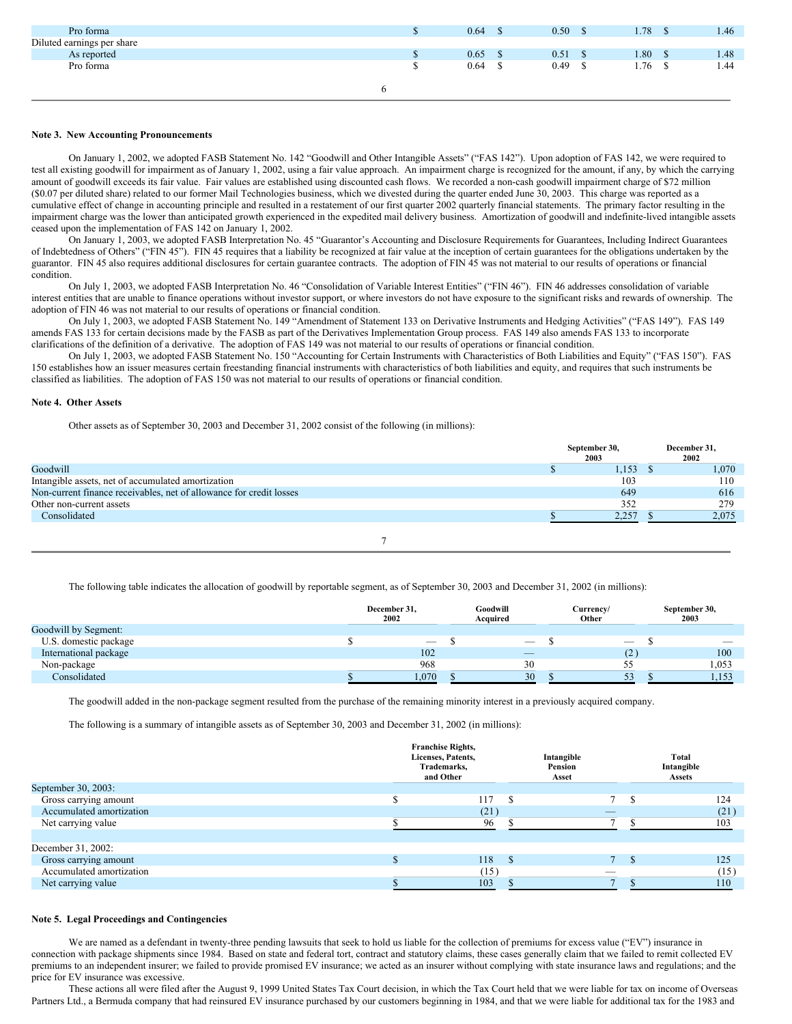| Pro forma                  | пn | 0.64 | 0.50 <sub>1</sub> | 1.78 | 1.46 |
|----------------------------|----|------|-------------------|------|------|
| Diluted earnings per share |    |      |                   |      |      |
| As reported                | пn | 0.65 | 0.51              | 1.80 | 1.48 |
| Pro forma                  | Œ  | 0.64 | 0.49              | 1.76 | 1.44 |
|                            |    |      |                   |      |      |
|                            |    |      |                   |      |      |
|                            |    |      |                   |      |      |

### **Note 3. New Accounting Pronouncements**

On January 1, 2002, we adopted FASB Statement No. 142 "Goodwill and Other Intangible Assets" ("FAS 142"). Upon adoption of FAS 142, we were required to test all existing goodwill for impairment as of January 1, 2002, using a fair value approach. An impairment charge is recognized for the amount, if any, by which the carrying amount of goodwill exceeds its fair value. Fair values are established using discounted cash flows. We recorded a non-cash goodwill impairment charge of \$72 million (\$0.07 per diluted share) related to our former Mail Technologies business, which we divested during the quarter ended June 30, 2003. This charge was reported as a cumulative effect of change in accounting principle and resulted in a restatement of our first quarter 2002 quarterly financial statements. The primary factor resulting in the impairment charge was the lower than anticipated growth experienced in the expedited mail delivery business. Amortization of goodwill and indefinite-lived intangible assets ceased upon the implementation of FAS 142 on January 1, 2002.

On January 1, 2003, we adopted FASB Interpretation No. 45 "Guarantor's Accounting and Disclosure Requirements for Guarantees, Including Indirect Guarantees of Indebtedness of Others" ("FIN 45"). FIN 45 requires that a liability be recognized at fair value at the inception of certain guarantees for the obligations undertaken by the guarantor. FIN 45 also requires additional disclosures for certain guarantee contracts. The adoption of FIN 45 was not material to our results of operations or financial condition.

On July 1, 2003, we adopted FASB Interpretation No. 46 "Consolidation of Variable Interest Entities" ("FIN 46"). FIN 46 addresses consolidation of variable interest entities that are unable to finance operations without investor support, or where investors do not have exposure to the significant risks and rewards of ownership. The adoption of FIN 46 was not material to our results of operations or financial condition.

On July 1, 2003, we adopted FASB Statement No. 149 "Amendment of Statement 133 on Derivative Instruments and Hedging Activities" ("FAS 149"). FAS 149 amends FAS 133 for certain decisions made by the FASB as part of the Derivatives Implementation Group process. FAS 149 also amends FAS 133 to incorporate clarifications of the definition of a derivative. The adoption of FAS 149 was not material to our results of operations or financial condition.

On July 1, 2003, we adopted FASB Statement No. 150 "Accounting for Certain Instruments with Characteristics of Both Liabilities and Equity" ("FAS 150"). FAS 150 establishes how an issuer measures certain freestanding financial instruments with characteristics of both liabilities and equity, and requires that such instruments be classified as liabilities. The adoption of FAS 150 was not material to our results of operations or financial condition.

### **Note 4. Other Assets**

Other assets as of September 30, 2003 and December 31, 2002 consist of the following (in millions):

|                                                                     | September 30,<br>2003 |       |  | December 31,<br>2002 |
|---------------------------------------------------------------------|-----------------------|-------|--|----------------------|
| Goodwill                                                            |                       | 1,153 |  | 1,070                |
| Intangible assets, net of accumulated amortization                  |                       | 103   |  | 110                  |
| Non-current finance receivables, net of allowance for credit losses |                       | 649   |  | 616                  |
| Other non-current assets                                            |                       | 352   |  | 279                  |
| Consolidated                                                        |                       | 2.257 |  | 2,075                |
|                                                                     |                       |       |  |                      |

7

The following table indicates the allocation of goodwill by reportable segment, as of September 30, 2003 and December 31, 2002 (in millions):

|                       | December 31,<br>2002 | Goodwill<br>Acquired     | Currencv/<br>Other            | September 30,<br>2003 |
|-----------------------|----------------------|--------------------------|-------------------------------|-----------------------|
| Goodwill by Segment:  |                      |                          |                               |                       |
| U.S. domestic package | $\sim$               | $\overline{\phantom{a}}$ | $\overline{\phantom{a}}$      |                       |
| International package | 102                  | $\overline{\phantom{a}}$ | (2)                           | 100                   |
| Non-package           | 968                  | 30                       |                               | 1,053                 |
| Consolidated          | $070^{11}$           | 30                       | $\overline{\phantom{a}}$<br>◡ | 1,153                 |

The goodwill added in the non-package segment resulted from the purchase of the remaining minority interest in a previously acquired company.

The following is a summary of intangible assets as of September 30, 2003 and December 31, 2002 (in millions):

|                          | <b>Franchise Rights,</b><br>Licenses, Patents,<br>Trademarks,<br>and Other |      | Intangible<br>Pension<br>Asset | Total<br>Intangible<br>Assets |      |
|--------------------------|----------------------------------------------------------------------------|------|--------------------------------|-------------------------------|------|
| September 30, 2003:      |                                                                            |      |                                |                               |      |
| Gross carrying amount    |                                                                            | 117  |                                |                               | 124  |
| Accumulated amortization |                                                                            | (21) | $\overline{\phantom{a}}$       |                               | (21) |
| Net carrying value       |                                                                            | 96   |                                |                               | 103  |
|                          |                                                                            |      |                                |                               |      |
| December 31, 2002:       |                                                                            |      |                                |                               |      |
| Gross carrying amount    |                                                                            | 118  | -S                             |                               | 125  |
| Accumulated amortization |                                                                            | (15) | $\overline{\phantom{a}}$       |                               | (15) |
| Net carrying value       |                                                                            | 103  |                                |                               | 110  |
|                          |                                                                            |      |                                |                               |      |

#### **Note 5. Legal Proceedings and Contingencies**

We are named as a defendant in twenty-three pending lawsuits that seek to hold us liable for the collection of premiums for excess value ("EV") insurance in connection with package shipments since 1984. Based on state and federal tort, contract and statutory claims, these cases generally claim that we failed to remit collected EV premiums to an independent insurer; we failed to provide promised EV insurance; we acted as an insurer without complying with state insurance laws and regulations; and the price for EV insurance was excessive.

These actions all were filed after the August 9, 1999 United States Tax Court decision, in which the Tax Court held that we were liable for tax on income of Overseas Partners Ltd., a Bermuda company that had reinsured EV insurance purchased by our customers beginning in 1984, and that we were liable for additional tax for the 1983 and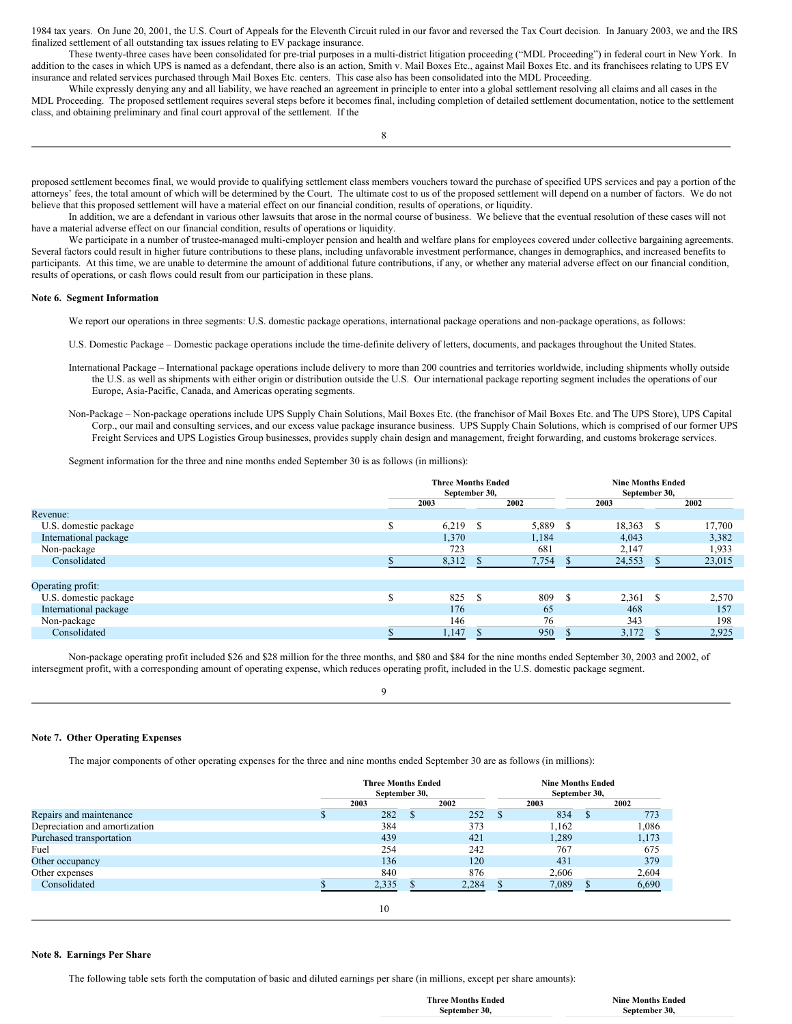1984 tax years. On June 20, 2001, the U.S. Court of Appeals for the Eleventh Circuit ruled in our favor and reversed the Tax Court decision. In January 2003, we and the IRS finalized settlement of all outstanding tax issues relating to EV package insurance.

These twenty-three cases have been consolidated for pre-trial purposes in a multi-district litigation proceeding ("MDL Proceeding") in federal court in New York. In addition to the cases in which UPS is named as a defendant, there also is an action, Smith v. Mail Boxes Etc., against Mail Boxes Etc. and its franchisees relating to UPS EV insurance and related services purchased through Mail Boxes Etc. centers. This case also has been consolidated into the MDL Proceeding.

While expressly denying any and all liability, we have reached an agreement in principle to enter into a global settlement resolving all claims and all cases in the MDL Proceeding. The proposed settlement requires several steps before it becomes final, including completion of detailed settlement documentation, notice to the settlement class, and obtaining preliminary and final court approval of the settlement. If the

proposed settlement becomes final, we would provide to qualifying settlement class members vouchers toward the purchase of specified UPS services and pay a portion of the attorneys' fees, the total amount of which will be determined by the Court. The ultimate cost to us of the proposed settlement will depend on a number of factors. We do not believe that this proposed settlement will have a material effect on our financial condition, results of operations, or liquidity.

In addition, we are a defendant in various other lawsuits that arose in the normal course of business. We believe that the eventual resolution of these cases will not have a material adverse effect on our financial condition, results of operations or liquidity.

We participate in a number of trustee-managed multi-employer pension and health and welfare plans for employees covered under collective bargaining agreements. Several factors could result in higher future contributions to these plans, including unfavorable investment performance, changes in demographics, and increased benefits to participants. At this time, we are unable to determine the amount of additional future contributions, if any, or whether any material adverse effect on our financial condition, results of operations, or cash flows could result from our participation in these plans.

### **Note 6. Segment Information**

We report our operations in three segments: U.S. domestic package operations, international package operations and non-package operations, as follows:

- U.S. Domestic Package Domestic package operations include the time-definite delivery of letters, documents, and packages throughout the United States.
- International Package International package operations include delivery to more than 200 countries and territories worldwide, including shipments wholly outside the U.S. as well as shipments with either origin or distribution outside the U.S. Our international package reporting segment includes the operations of our Europe, Asia-Pacific, Canada, and Americas operating segments.
- Non-Package Non-package operations include UPS Supply Chain Solutions, Mail Boxes Etc. (the franchisor of Mail Boxes Etc. and The UPS Store), UPS Capital Corp., our mail and consulting services, and our excess value package insurance business. UPS Supply Chain Solutions, which is comprised of our former UPS Freight Services and UPS Logistics Group businesses, provides supply chain design and management, freight forwarding, and customs brokerage services.

Segment information for the three and nine months ended September 30 is as follows (in millions):

|                       | <b>Three Months Ended</b><br>September 30, |       |    | <b>Nine Months Ended</b><br>September 30, |   |        |     |        |
|-----------------------|--------------------------------------------|-------|----|-------------------------------------------|---|--------|-----|--------|
|                       |                                            | 2003  |    | 2002                                      |   | 2003   |     | 2002   |
| Revenue:              |                                            |       |    |                                           |   |        |     |        |
| U.S. domestic package | $\sigma$<br>υэ                             | 6,219 | -S | 5,889                                     | S | 18,363 | -S  | 17,700 |
| International package |                                            | 1,370 |    | 1,184                                     |   | 4,043  |     | 3,382  |
| Non-package           |                                            | 723   |    | 681                                       |   | 2,147  |     | 1,933  |
| Consolidated          |                                            | 8,312 |    | 7,754                                     |   | 24,553 |     | 23,015 |
|                       |                                            |       |    |                                           |   |        |     |        |
| Operating profit:     |                                            |       |    |                                           |   |        |     |        |
| U.S. domestic package | $\sigma$                                   | 825   | -S | 809                                       | S | 2,361  | - S | 2,570  |
| International package |                                            | 176   |    | 65                                        |   | 468    |     | 157    |
| Non-package           |                                            | 146   |    | 76                                        |   | 343    |     | 198    |
| Consolidated          |                                            | 1,147 |    | 950                                       |   | 3,172  |     | 2,925  |

Non-package operating profit included \$26 and \$28 million for the three months, and \$80 and \$84 for the nine months ended September 30, 2003 and 2002, of intersegment profit, with a corresponding amount of operating expense, which reduces operating profit, included in the U.S. domestic package segment.

 $\overline{Q}$ 

# **Note 7. Other Operating Expenses**

The major components of other operating expenses for the three and nine months ended September 30 are as follows (in millions):

|                               | <b>Three Months Ended</b><br>September 30, |   |       |  |       | <b>Nine Months Ended</b><br>September 30, |       |  |  |
|-------------------------------|--------------------------------------------|---|-------|--|-------|-------------------------------------------|-------|--|--|
|                               | 2003                                       |   | 2002  |  | 2003  |                                           | 2002  |  |  |
| Repairs and maintenance       | 282                                        | S | 252   |  | 834   |                                           | 773   |  |  |
| Depreciation and amortization | 384                                        |   | 373   |  | 1,162 |                                           | 1,086 |  |  |
| Purchased transportation      | 439                                        |   | 421   |  | 1,289 |                                           | 1,173 |  |  |
| Fuel                          | 254                                        |   | 242   |  | 767   |                                           | 675   |  |  |
| Other occupancy               | 136                                        |   | 120   |  | 431   |                                           | 379   |  |  |
| Other expenses                | 840                                        |   | 876   |  | 2,606 |                                           | 2,604 |  |  |
| Consolidated                  | 2,335                                      |   | 2,284 |  | 7,089 |                                           | 6,690 |  |  |
|                               |                                            |   |       |  |       |                                           |       |  |  |
|                               | 10                                         |   |       |  |       |                                           |       |  |  |

# **Note 8. Earnings Per Share**

The following table sets forth the computation of basic and diluted earnings per share (in millions, except per share amounts):

| <b>Three Months Ended</b> | <b>Nine Months Ended</b> |
|---------------------------|--------------------------|
| September 30.             | September 30.            |
|                           |                          |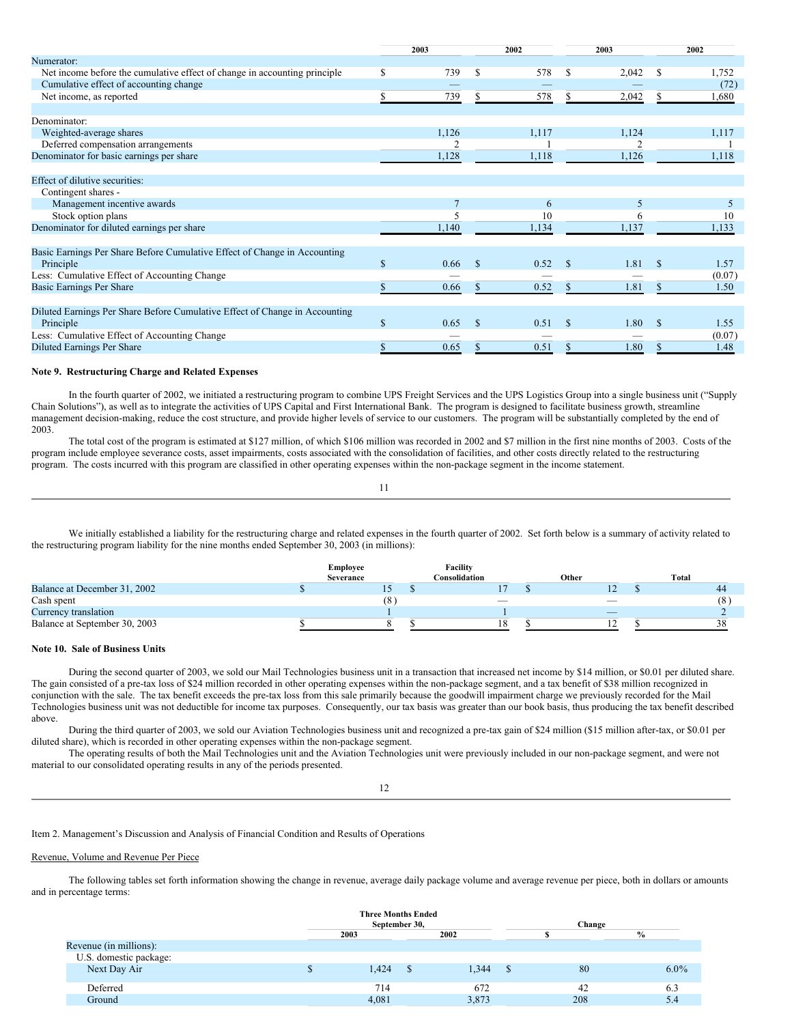|                                                                             |              | 2003  |               | 2002  |              | 2003  |               | 2002   |
|-----------------------------------------------------------------------------|--------------|-------|---------------|-------|--------------|-------|---------------|--------|
| Numerator:                                                                  |              |       |               |       |              |       |               |        |
| Net income before the cumulative effect of change in accounting principle   | \$           | 739   |               | 578   | S            | 2,042 | S             | 1,752  |
| Cumulative effect of accounting change                                      |              |       |               |       |              |       |               | (72)   |
| Net income, as reported                                                     |              | 739   |               | 578   | S.           | 2,042 | S.            | 1,680  |
| Denominator:                                                                |              |       |               |       |              |       |               |        |
| Weighted-average shares                                                     |              | 1,126 |               | 1,117 |              | 1,124 |               | 1,117  |
| Deferred compensation arrangements                                          |              |       |               |       |              |       |               |        |
| Denominator for basic earnings per share                                    |              | 1,128 |               | 1,118 |              | 1,126 |               | 1,118  |
| Effect of dilutive securities:                                              |              |       |               |       |              |       |               |        |
| Contingent shares -                                                         |              |       |               |       |              |       |               |        |
| Management incentive awards                                                 |              |       |               | 6     |              | 5     |               | 5      |
| Stock option plans                                                          |              |       |               | 10    |              | 6     |               | 10     |
| Denominator for diluted earnings per share                                  |              | 1,140 |               | 1,134 |              | 1,137 |               | 1,133  |
| Basic Earnings Per Share Before Cumulative Effect of Change in Accounting   |              |       |               |       |              |       |               |        |
| Principle                                                                   | S            | 0.66  | $\mathcal{S}$ | 0.52  | $\mathbf{s}$ | 1.81  | - \$          | 1.57   |
| Less: Cumulative Effect of Accounting Change                                |              |       |               |       |              |       |               | (0.07) |
| Basic Earnings Per Share                                                    |              | 0.66  |               | 0.52  |              | 1.81  | $\mathbb{S}$  | 1.50   |
| Diluted Earnings Per Share Before Cumulative Effect of Change in Accounting |              |       |               |       |              |       |               |        |
| Principle                                                                   | $\mathbb{S}$ | 0.65  |               | 0.51  | \$           | 1.80  | <sup>\$</sup> | 1.55   |
| Less: Cumulative Effect of Accounting Change                                |              |       |               |       |              |       |               | (0.07) |
| <b>Diluted Earnings Per Share</b>                                           |              | 0.65  |               | 0.51  |              | 1.80  |               | 1.48   |

### **Note 9. Restructuring Charge and Related Expenses**

In the fourth quarter of 2002, we initiated a restructuring program to combine UPS Freight Services and the UPS Logistics Group into a single business unit ("Supply Chain Solutions"), as well as to integrate the activities of UPS Capital and First International Bank. The program is designed to facilitate business growth, streamline management decision-making, reduce the cost structure, and provide higher levels of service to our customers. The program will be substantially completed by the end of 2003.

The total cost of the program is estimated at \$127 million, of which \$106 million was recorded in 2002 and \$7 million in the first nine months of 2003. Costs of the program include employee severance costs, asset impairments, costs associated with the consolidation of facilities, and other costs directly related to the restructuring program. The costs incurred with this program are classified in other operating expenses within the non-package segment in the income statement.

11

We initially established a liability for the restructuring charge and related expenses in the fourth quarter of 2002. Set forth below is a summary of activity related to the restructuring program liability for the nine months ended September 30, 2003 (in millions):

|                               | Emplovee         |  | Facility      |       |       |
|-------------------------------|------------------|--|---------------|-------|-------|
|                               | <b>Severance</b> |  | Consolidation | Other | Total |
| Balance at December 31, 2002  |                  |  |               |       | 44    |
| Cash spent                    |                  |  | _             |       |       |
| Currency translation          |                  |  |               | $-$   |       |
| Balance at September 30, 2003 |                  |  |               |       |       |

### **Note 10. Sale of Business Units**

During the second quarter of 2003, we sold our Mail Technologies business unit in a transaction that increased net income by \$14 million, or \$0.01 per diluted share. The gain consisted of a pre-tax loss of \$24 million recorded in other operating expenses within the non-package segment, and a tax benefit of \$38 million recognized in conjunction with the sale. The tax benefit exceeds the pre-tax loss from this sale primarily because the goodwill impairment charge we previously recorded for the Mail Technologies business unit was not deductible for income tax purposes. Consequently, our tax basis was greater than our book basis, thus producing the tax benefit described above.

During the third quarter of 2003, we sold our Aviation Technologies business unit and recognized a pre-tax gain of \$24 million (\$15 million after-tax, or \$0.01 per diluted share), which is recorded in other operating expenses within the non-package segment.

The operating results of both the Mail Technologies unit and the Aviation Technologies unit were previously included in our non-package segment, and were not material to our consolidated operating results in any of the periods presented.

12

Item 2. Management's Discussion and Analysis of Financial Condition and Results of Operations

# Revenue, Volume and Revenue Per Piece

The following tables set forth information showing the change in revenue, average daily package volume and average revenue per piece, both in dollars or amounts and in percentage terms:

|                        | <b>Three Months Ended</b> |  |       |        |               |         |  |
|------------------------|---------------------------|--|-------|--------|---------------|---------|--|
|                        | September 30,             |  |       | Change |               |         |  |
|                        | 2002<br>2003              |  |       |        | $\frac{0}{2}$ |         |  |
| Revenue (in millions): |                           |  |       |        |               |         |  |
| U.S. domestic package: |                           |  |       |        |               |         |  |
| Next Day Air           | 1.424                     |  | 1.344 |        | 80            | $6.0\%$ |  |
| Deferred               | 714                       |  | 672   |        | 42            | 6.3     |  |
| Ground                 | 4,081                     |  | 3,873 |        | 208           | 5.4     |  |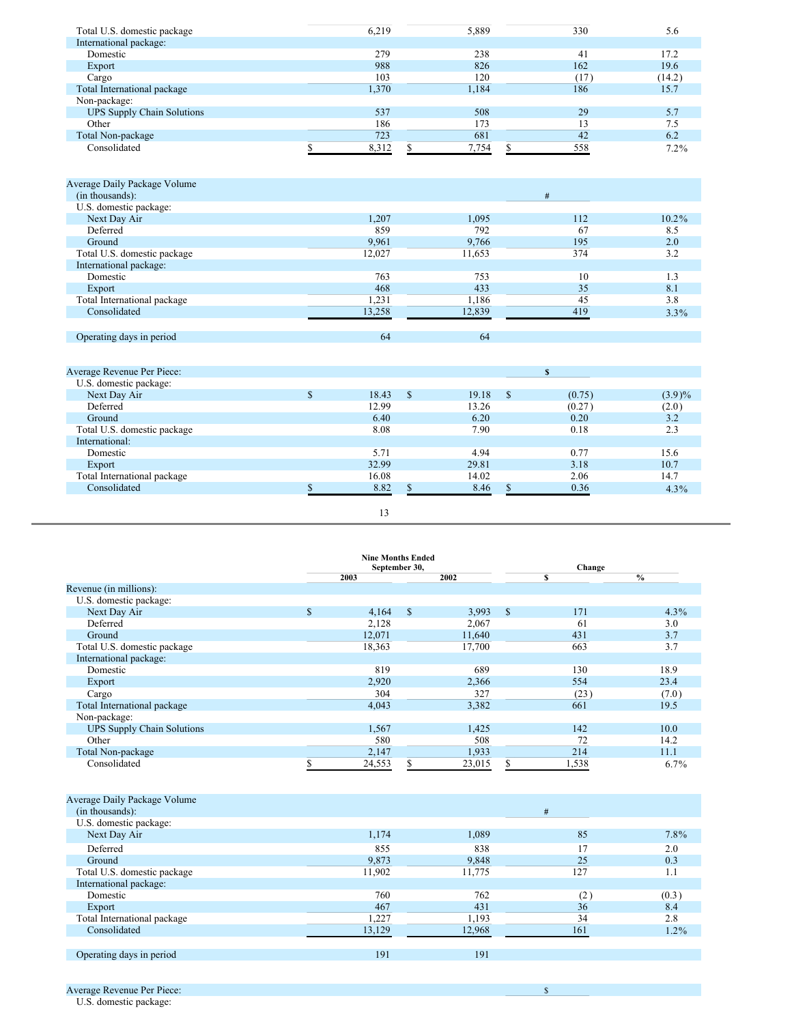| Total U.S. domestic package       |              | 6,219  |               | 5,889  | 330                    | 5.6       |
|-----------------------------------|--------------|--------|---------------|--------|------------------------|-----------|
| International package:            |              |        |               |        |                        |           |
| Domestic                          |              | 279    |               | 238    | 41                     | 17.2      |
| Export                            |              | 988    |               | 826    | 162                    | 19.6      |
| Cargo                             |              | 103    |               | 120    | (17)                   | (14.2)    |
| Total International package       |              | 1,370  |               | 1,184  | 186                    | 15.7      |
| Non-package:                      |              |        |               |        |                        |           |
| <b>UPS Supply Chain Solutions</b> |              | 537    |               | 508    | 29                     | 5.7       |
| Other                             |              | 186    |               | 173    | 13                     | 7.5       |
| Total Non-package                 |              | 723    |               | 681    | 42                     | 6.2       |
| Consolidated                      | \$           | 8,312  | \$            | 7,754  | \$<br>558              | 7.2%      |
|                                   |              |        |               |        |                        |           |
|                                   |              |        |               |        |                        |           |
| Average Daily Package Volume      |              |        |               |        |                        |           |
| (in thousands):                   |              |        |               |        | $\#$                   |           |
| U.S. domestic package:            |              |        |               |        |                        |           |
| Next Day Air                      |              | 1,207  |               | 1,095  | 112                    | 10.2%     |
| Deferred                          |              | 859    |               | 792    | 67                     | 8.5       |
| Ground                            |              | 9,961  |               | 9,766  | 195                    | 2.0       |
| Total U.S. domestic package       |              | 12,027 |               | 11,653 | 374                    | 3.2       |
| International package:            |              |        |               |        |                        |           |
| Domestic                          |              | 763    |               | 753    | 10                     | 1.3       |
| Export                            |              | 468    |               | 433    | 35                     | 8.1       |
| Total International package       |              | 1,231  |               | 1,186  | 45                     | 3.8       |
| Consolidated                      |              | 13,258 |               | 12,839 | 419                    | 3.3%      |
|                                   |              |        |               |        |                        |           |
| Operating days in period          |              | 64     |               | 64     |                        |           |
|                                   |              |        |               |        |                        |           |
|                                   |              |        |               |        |                        |           |
| Average Revenue Per Piece:        |              |        |               |        | $\mathbf S$            |           |
| U.S. domestic package:            |              |        |               |        |                        |           |
| Next Day Air                      | $\mathbb{S}$ | 18.43  | <sup>\$</sup> | 19.18  | $\mathbb{S}$<br>(0.75) | $(3.9)\%$ |
| Deferred                          |              | 12.99  |               | 13.26  | (0.27)                 | (2.0)     |
| Ground                            |              | 6.40   |               | 6.20   | 0.20                   | 3.2       |
| Total U.S. domestic package       |              | 8.08   |               | 7.90   | 0.18                   | 2.3       |
| International:                    |              |        |               |        |                        |           |
| Domestic                          |              | 5.71   |               | 4.94   | 0.77                   | 15.6      |
| Export                            |              | 32.99  |               | 29.81  | 3.18                   | 10.7      |
| Total International package       |              | 16.08  |               | 14.02  | 2.06                   | 14.7      |
| Consolidated                      | \$           | 8.82   | $\mathbb{S}$  | 8.46   | \$<br>0.36             | 4.3%      |
|                                   |              |        |               |        |                        |           |

|                                   |     | <b>Nine Months Ended</b> | September 30, |        | Change       |       |               |
|-----------------------------------|-----|--------------------------|---------------|--------|--------------|-------|---------------|
|                                   |     | 2003                     |               | 2002   |              | \$    | $\frac{6}{6}$ |
| Revenue (in millions):            |     |                          |               |        |              |       |               |
| U.S. domestic package:            |     |                          |               |        |              |       |               |
| Next Day Air                      | \$. | 4,164                    | $\mathbb{S}$  | 3,993  | <sup>S</sup> | 171   | $4.3\%$       |
| Deferred                          |     | 2,128                    |               | 2,067  |              | 61    | 3.0           |
| Ground                            |     | 12,071                   |               | 11,640 |              | 431   | 3.7           |
| Total U.S. domestic package       |     | 18,363                   |               | 17,700 |              | 663   | 3.7           |
| International package:            |     |                          |               |        |              |       |               |
| Domestic                          |     | 819                      |               | 689    |              | 130   | 18.9          |
| Export                            |     | 2,920                    |               | 2,366  |              | 554   | 23.4          |
| Cargo                             |     | 304                      |               | 327    |              | (23)  | (7.0)         |
| Total International package       |     | 4,043                    |               | 3,382  |              | 661   | 19.5          |
| Non-package:                      |     |                          |               |        |              |       |               |
| <b>UPS Supply Chain Solutions</b> |     | 1,567                    |               | 1,425  |              | 142   | 10.0          |
| Other                             |     | 580                      |               | 508    |              | 72    | 14.2          |
| Total Non-package                 |     | 2,147                    |               | 1,933  |              | 214   | 11.1          |
| Consolidated                      |     | 24,553                   | S             | 23,015 |              | 1,538 | $6.7\%$       |

1 3

Average Daily Package Volume

| (in thousands):             |        |        | #   |         |
|-----------------------------|--------|--------|-----|---------|
| U.S. domestic package:      |        |        |     |         |
| Next Day Air                | 1,174  | 1,089  | 85  | 7.8%    |
| Deferred                    | 855    | 838    | 17  | 2.0     |
| Ground                      | 9,873  | 9,848  | 25  | 0.3     |
| Total U.S. domestic package | 11,902 | 11,775 | 127 | 1.1     |
| International package:      |        |        |     |         |
| Domestic                    | 760    | 762    | (2) | (0.3)   |
| Export                      | 467    | 431    | 36  | 8.4     |
| Total International package | . 227  | 1,193  | 34  | 2.8     |
| Consolidated                | 13,129 | 12,968 | 161 | $1.2\%$ |
|                             |        |        |     |         |
| Operating days in period    | 191    | 191    |     |         |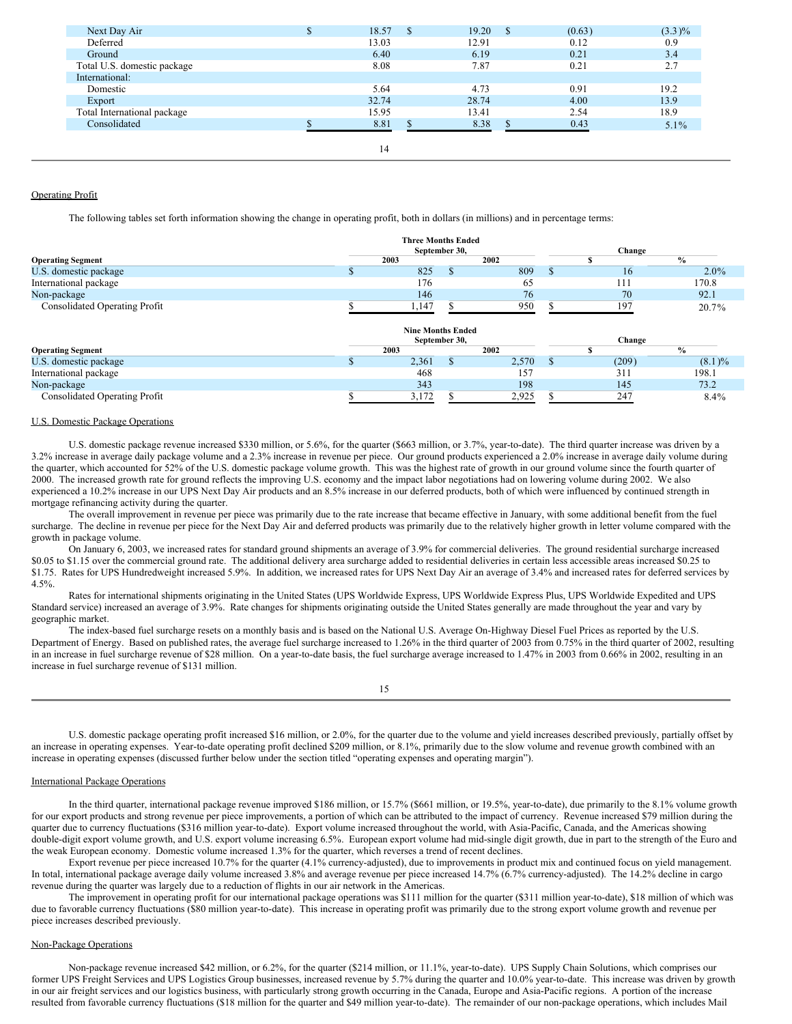| Next Day Air                | 18.57 | S. | 19.20 | - \$ | (0.63) | $(3.3)\%$ |
|-----------------------------|-------|----|-------|------|--------|-----------|
| Deferred                    | 13.03 |    | 12.91 |      | 0.12   | 0.9       |
| Ground                      | 6.40  |    | 6.19  |      | 0.21   | 3.4       |
| Total U.S. domestic package | 8.08  |    | 7.87  |      | 0.21   | 2.7       |
| International:              |       |    |       |      |        |           |
| Domestic                    | 5.64  |    | 4.73  |      | 0.91   | 19.2      |
| Export                      | 32.74 |    | 28.74 |      | 4.00   | 13.9      |
| Total International package | 15.95 |    | 13.41 |      | 2.54   | 18.9      |
| Consolidated                | 8.81  |    | 8.38  |      | 0.43   | $5.1\%$   |

# Operating Profit

The following tables set forth information showing the change in operating profit, both in dollars (in millions) and in percentage terms:

|                               |      | <b>Three Months Ended</b> |  |      |        |     |         |
|-------------------------------|------|---------------------------|--|------|--------|-----|---------|
|                               |      | September 30.             |  |      | Change |     |         |
| <b>Operating Segment</b>      | 2003 |                           |  | 2002 |        |     |         |
| U.S. domestic package         |      | 825                       |  | 809  |        | 10  | $2.0\%$ |
| International package         |      | 176                       |  | 65   |        | 111 | 170.8   |
| Non-package                   |      | 146                       |  | 76   |        | 70  | 92.1    |
| Consolidated Operating Profit |      | 147                       |  | 950  |        | 197 | 20.7%   |

|                                      | <b>Nine Months Ended</b><br>September 30, |       | Change |       |           |
|--------------------------------------|-------------------------------------------|-------|--------|-------|-----------|
| <b>Operating Segment</b>             | 2003                                      | 2002  |        |       |           |
| U.S. domestic package                | 2,361                                     | 2,570 |        | (209) | $(8.1)\%$ |
| International package                | 468                                       | 157   |        | 311   | 198.1     |
| Non-package                          | 343                                       | 198   |        | 145   | 73.2      |
| <b>Consolidated Operating Profit</b> | 3,172                                     | 2,925 |        | 247   | 8.4%      |

### U.S. Domestic Package Operations

U.S. domestic package revenue increased \$330 million, or 5.6%, for the quarter (\$663 million, or 3.7%, year-to-date). The third quarter increase was driven by a 3.2% increase in average daily package volume and a 2.3% increase in revenue per piece. Our ground products experienced a 2.0% increase in average daily volume during the quarter, which accounted for 52% of the U.S. domestic package volume growth. This was the highest rate of growth in our ground volume since the fourth quarter of 2000. The increased growth rate for ground reflects the improving U.S. economy and the impact labor negotiations had on lowering volume during 2002. We also experienced a 10.2% increase in our UPS Next Day Air products and an 8.5% increase in our deferred products, both of which were influenced by continued strength in mortgage refinancing activity during the quarter.

The overall improvement in revenue per piece was primarily due to the rate increase that became effective in January, with some additional benefit from the fuel surcharge. The decline in revenue per piece for the Next Day Air and deferred products was primarily due to the relatively higher growth in letter volume compared with the growth in package volume.

On January 6, 2003, we increased rates for standard ground shipments an average of 3.9% for commercial deliveries. The ground residential surcharge increased \$0.05 to \$1.15 over the commercial ground rate. The additional delivery area surcharge added to residential deliveries in certain less accessible areas increased \$0.25 to \$1.75. Rates for UPS Hundredweight increased 5.9%. In addition, we increased rates for UPS Next Day Air an average of 3.4% and increased rates for deferred services by 4.5%.

Rates for international shipments originating in the United States (UPS Worldwide Express, UPS Worldwide Express Plus, UPS Worldwide Expedited and UPS Standard service) increased an average of 3.9%. Rate changes for shipments originating outside the United States generally are made throughout the year and vary by geographic market.

The index-based fuel surcharge resets on a monthly basis and is based on the National U.S. Average On-Highway Diesel Fuel Prices as reported by the U.S. Department of Energy. Based on published rates, the average fuel surcharge increased to 1.26% in the third quarter of 2003 from 0.75% in the third quarter of 2002, resulting in an increase in fuel surcharge revenue of \$28 million. On a year-to-date basis, the fuel surcharge average increased to 1.47% in 2003 from 0.66% in 2002, resulting in an increase in fuel surcharge revenue of \$131 million.

15

U.S. domestic package operating profit increased \$16 million, or 2.0%, for the quarter due to the volume and yield increases described previously, partially offset by an increase in operating expenses. Year-to-date operating profit declined \$209 million, or 8.1%, primarily due to the slow volume and revenue growth combined with an increase in operating expenses (discussed further below under the section titled "operating expenses and operating margin").

# International Package Operations

In the third quarter, international package revenue improved \$186 million, or 15.7% (\$661 million, or 19.5%, year-to-date), due primarily to the 8.1% volume growth for our export products and strong revenue per piece improvements, a portion of which can be attributed to the impact of currency. Revenue increased \$79 million during the quarter due to currency fluctuations (\$316 million year-to-date). Export volume increased throughout the world, with Asia-Pacific, Canada, and the Americas showing double-digit export volume growth, and U.S. export volume increasing 6.5%. European export volume had mid-single digit growth, due in part to the strength of the Euro and the weak European economy. Domestic volume increased 1.3% for the quarter, which reverses a trend of recent declines.

Export revenue per piece increased 10.7% for the quarter (4.1% currency-adjusted), due to improvements in product mix and continued focus on yield management. In total, international package average daily volume increased 3.8% and average revenue per piece increased 14.7% (6.7% currency-adjusted). The 14.2% decline in cargo revenue during the quarter was largely due to a reduction of flights in our air network in the Americas.

The improvement in operating profit for our international package operations was \$111 million for the quarter (\$311 million year-to-date), \$18 million of which was due to favorable currency fluctuations (\$80 million year-to-date). This increase in operating profit was primarily due to the strong export volume growth and revenue per piece increases described previously.

# Non-Package Operations

Non-package revenue increased \$42 million, or 6.2%, for the quarter (\$214 million, or 11.1%, year-to-date). UPS Supply Chain Solutions, which comprises our former UPS Freight Services and UPS Logistics Group businesses, increased revenue by 5.7% during the quarter and 10.0% year-to-date. This increase was driven by growth in our air freight services and our logistics business, with particularly strong growth occurring in the Canada, Europe and Asia-Pacific regions. A portion of the increase resulted from favorable currency fluctuations (\$18 million for the quarter and \$49 million year-to-date). The remainder of our non-package operations, which includes Mail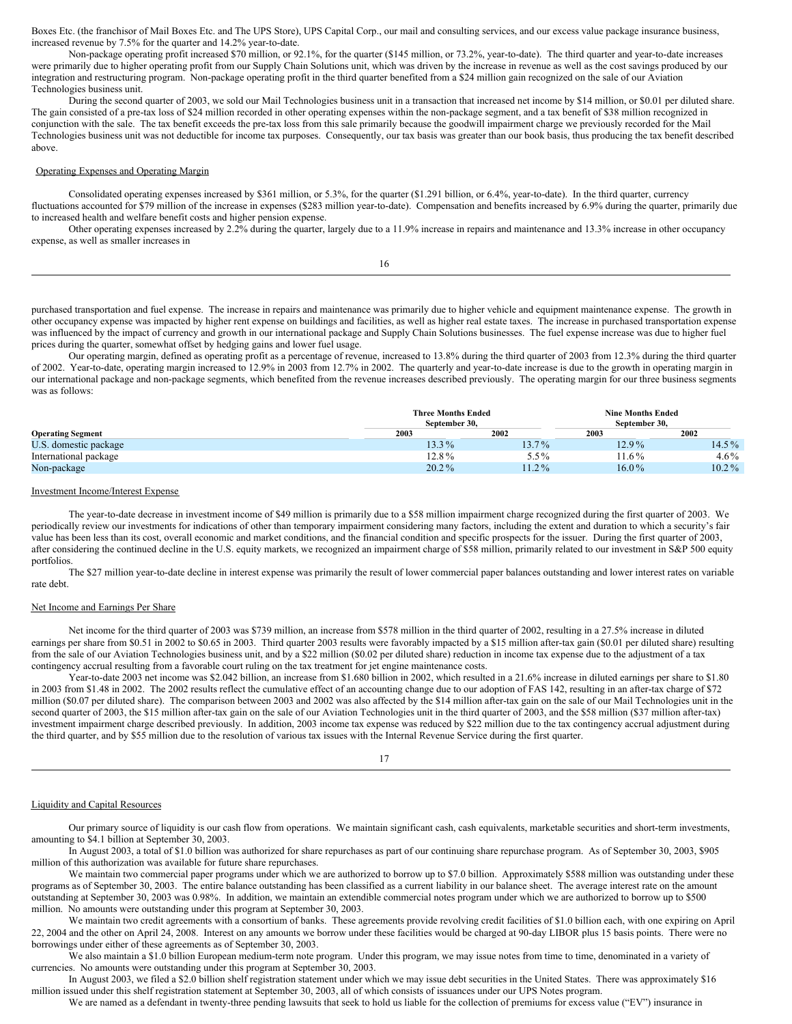Boxes Etc. (the franchisor of Mail Boxes Etc. and The UPS Store), UPS Capital Corp., our mail and consulting services, and our excess value package insurance business, increased revenue by 7.5% for the quarter and 14.2% year-to-date.

Non-package operating profit increased \$70 million, or 92.1%, for the quarter (\$145 million, or 73.2%, year-to-date). The third quarter and year-to-date increases were primarily due to higher operating profit from our Supply Chain Solutions unit, which was driven by the increase in revenue as well as the cost savings produced by our integration and restructuring program. Non-package operating profit in the third quarter benefited from a \$24 million gain recognized on the sale of our Aviation Technologies business unit.

During the second quarter of 2003, we sold our Mail Technologies business unit in a transaction that increased net income by \$14 million, or \$0.01 per diluted share. The gain consisted of a pre-tax loss of \$24 million recorded in other operating expenses within the non-package segment, and a tax benefit of \$38 million recognized in conjunction with the sale. The tax benefit exceeds the pre-tax loss from this sale primarily because the goodwill impairment charge we previously recorded for the Mail Technologies business unit was not deductible for income tax purposes. Consequently, our tax basis was greater than our book basis, thus producing the tax benefit described above.

### Operating Expenses and Operating Margin

Consolidated operating expenses increased by \$361 million, or 5.3%, for the quarter (\$1.291 billion, or 6.4%, year-to-date). In the third quarter, currency fluctuations accounted for \$79 million of the increase in expenses (\$283 million year-to-date). Compensation and benefits increased by 6.9% during the quarter, primarily due to increased health and welfare benefit costs and higher pension expense.

Other operating expenses increased by 2.2% during the quarter, largely due to a 11.9% increase in repairs and maintenance and 13.3% increase in other occupancy expense, as well as smaller increases in

purchased transportation and fuel expense. The increase in repairs and maintenance was primarily due to higher vehicle and equipment maintenance expense. The growth in other occupancy expense was impacted by higher rent expense on buildings and facilities, as well as higher real estate taxes. The increase in purchased transportation expense was influenced by the impact of currency and growth in our international package and Supply Chain Solutions businesses. The fuel expense increase was due to higher fuel prices during the quarter, somewhat offset by hedging gains and lower fuel usage.

Our operating margin, defined as operating profit as a percentage of revenue, increased to 13.8% during the third quarter of 2003 from 12.3% during the third quarter of 2002. Year-to-date, operating margin increased to 12.9% in 2003 from 12.7% in 2002. The quarterly and year-to-date increase is due to the growth in operating margin in our international package and non-package segments, which benefited from the revenue increases described previously. The operating margin for our three business segments was as follows:

|                          | <b>Three Months Ended</b><br>September 30. |          | <b>Nine Months Ended</b><br>September 30. |          |
|--------------------------|--------------------------------------------|----------|-------------------------------------------|----------|
| <b>Operating Segment</b> | 2003                                       | 2002     | 2003                                      | 2002     |
| U.S. domestic package    | 13.3%                                      | 13.7%    | $12.9\%$                                  | $14.5\%$ |
| International package    | 12.8%                                      | $5.5\%$  | 11.6%                                     | $4.6\%$  |
| Non-package              | $20.2\%$                                   | $11.2\%$ | $16.0\%$                                  | $10.2\%$ |

### Investment Income/Interest Expense

The year-to-date decrease in investment income of \$49 million is primarily due to a \$58 million impairment charge recognized during the first quarter of 2003. We periodically review our investments for indications of other than temporary impairment considering many factors, including the extent and duration to which a security's fair value has been less than its cost, overall economic and market conditions, and the financial condition and specific prospects for the issuer. During the first quarter of 2003, after considering the continued decline in the U.S. equity markets, we recognized an impairment charge of \$58 million, primarily related to our investment in S&P 500 equity portfolios.

The \$27 million year-to-date decline in interest expense was primarily the result of lower commercial paper balances outstanding and lower interest rates on variable rate debt.

### Net Income and Earnings Per Share

Net income for the third quarter of 2003 was \$739 million, an increase from \$578 million in the third quarter of 2002, resulting in a 27.5% increase in diluted earnings per share from \$0.51 in 2002 to \$0.65 in 2003. Third quarter 2003 results were favorably impacted by a \$15 million after-tax gain (\$0.01 per diluted share) resulting from the sale of our Aviation Technologies business unit, and by a \$22 million (\$0.02 per diluted share) reduction in income tax expense due to the adjustment of a tax contingency accrual resulting from a favorable court ruling on the tax treatment for jet engine maintenance costs.

Year-to-date 2003 net income was \$2.042 billion, an increase from \$1.680 billion in 2002, which resulted in a 21.6% increase in diluted earnings per share to \$1.80 in 2003 from \$1.48 in 2002. The 2002 results reflect the cumulative effect of an accounting change due to our adoption of FAS 142, resulting in an after-tax charge of \$72 million (\$0.07 per diluted share). The comparison between 2003 and 2002 was also affected by the \$14 million after-tax gain on the sale of our Mail Technologies unit in the second quarter of 2003, the \$15 million after-tax gain on the sale of our Aviation Technologies unit in the third quarter of 2003, and the \$58 million (\$37 million after-tax) investment impairment charge described previously. In addition, 2003 income tax expense was reduced by \$22 million due to the tax contingency accrual adjustment during the third quarter, and by \$55 million due to the resolution of various tax issues with the Internal Revenue Service during the first quarter.

### Liquidity and Capital Resources

Our primary source of liquidity is our cash flow from operations. We maintain significant cash, cash equivalents, marketable securities and short-term investments, amounting to \$4.1 billion at September 30, 2003.

In August 2003, a total of \$1.0 billion was authorized for share repurchases as part of our continuing share repurchase program. As of September 30, 2003, \$905 million of this authorization was available for future share repurchases.

We maintain two commercial paper programs under which we are authorized to borrow up to \$7.0 billion. Approximately \$588 million was outstanding under these programs as of September 30, 2003. The entire balance outstanding has been classified as a current liability in our balance sheet. The average interest rate on the amount outstanding at September 30, 2003 was 0.98%. In addition, we maintain an extendible commercial notes program under which we are authorized to borrow up to \$500 million. No amounts were outstanding under this program at September 30, 2003.

We maintain two credit agreements with a consortium of banks. These agreements provide revolving credit facilities of \$1.0 billion each, with one expiring on April 22, 2004 and the other on April 24, 2008. Interest on any amounts we borrow under these facilities would be charged at 90-day LIBOR plus 15 basis points. There were no borrowings under either of these agreements as of September 30, 2003.

We also maintain a \$1.0 billion European medium-term note program. Under this program, we may issue notes from time to time, denominated in a variety of currencies. No amounts were outstanding under this program at September 30, 2003.

In August 2003, we filed a \$2.0 billion shelf registration statement under which we may issue debt securities in the United States. There was approximately \$16 million issued under this shelf registration statement at September 30, 2003, all of which consists of issuances under our UPS Notes program.

We are named as a defendant in twenty-three pending lawsuits that seek to hold us liable for the collection of premiums for excess value ("EV") insurance in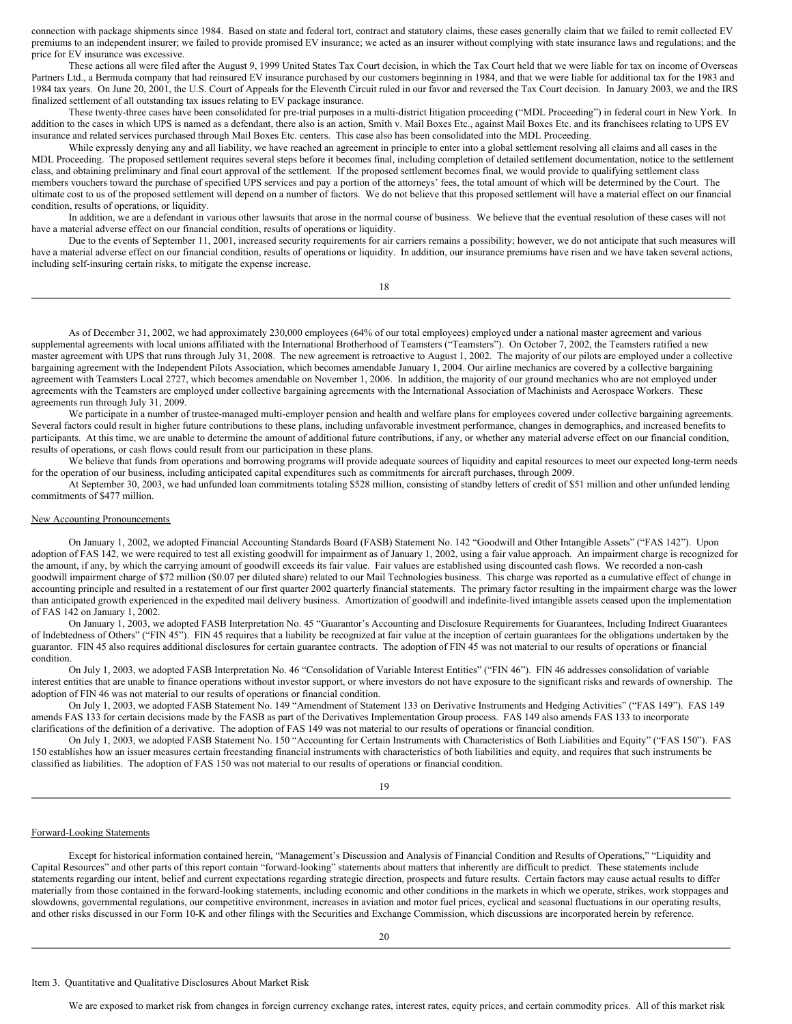connection with package shipments since 1984. Based on state and federal tort, contract and statutory claims, these cases generally claim that we failed to remit collected EV premiums to an independent insurer; we failed to provide promised EV insurance; we acted as an insurer without complying with state insurance laws and regulations; and the price for EV insurance was excessive.

These actions all were filed after the August 9, 1999 United States Tax Court decision, in which the Tax Court held that we were liable for tax on income of Overseas Partners Ltd., a Bermuda company that had reinsured EV insurance purchased by our customers beginning in 1984, and that we were liable for additional tax for the 1983 and 1984 tax years. On June 20, 2001, the U.S. Court of Appeals for the Eleventh Circuit ruled in our favor and reversed the Tax Court decision. In January 2003, we and the IRS finalized settlement of all outstanding tax issues relating to EV package insurance.

These twenty-three cases have been consolidated for pre-trial purposes in a multi-district litigation proceeding ("MDL Proceeding") in federal court in New York. In addition to the cases in which UPS is named as a defendant, there also is an action, Smith v. Mail Boxes Etc., against Mail Boxes Etc. and its franchisees relating to UPS EV insurance and related services purchased through Mail Boxes Etc. centers. This case also has been consolidated into the MDL Proceeding.

While expressly denying any and all liability, we have reached an agreement in principle to enter into a global settlement resolving all claims and all cases in the MDL Proceeding. The proposed settlement requires several steps before it becomes final, including completion of detailed settlement documentation, notice to the settlement class, and obtaining preliminary and final court approval of the settlement. If the proposed settlement becomes final, we would provide to qualifying settlement class members vouchers toward the purchase of specified UPS services and pay a portion of the attorneys' fees, the total amount of which will be determined by the Court. The ultimate cost to us of the proposed settlement will depend on a number of factors. We do not believe that this proposed settlement will have a material effect on our financial condition, results of operations, or liquidity.

In addition, we are a defendant in various other lawsuits that arose in the normal course of business. We believe that the eventual resolution of these cases will not have a material adverse effect on our financial condition, results of operations or liquidity.

Due to the events of September 11, 2001, increased security requirements for air carriers remains a possibility; however, we do not anticipate that such measures will have a material adverse effect on our financial condition, results of operations or liquidity. In addition, our insurance premiums have risen and we have taken several actions, including self-insuring certain risks, to mitigate the expense increase.

18

As of December 31, 2002, we had approximately 230,000 employees (64% of our total employees) employed under a national master agreement and various supplemental agreements with local unions affiliated with the International Brotherhood of Teamsters ("Teamsters"). On October 7, 2002, the Teamsters ratified a new master agreement with UPS that runs through July 31, 2008. The new agreement is retroactive to August 1, 2002. The majority of our pilots are employed under a collective bargaining agreement with the Independent Pilots Association, which becomes amendable January 1, 2004. Our airline mechanics are covered by a collective bargaining agreement with Teamsters Local 2727, which becomes amendable on November 1, 2006. In addition, the majority of our ground mechanics who are not employed under agreements with the Teamsters are employed under collective bargaining agreements with the International Association of Machinists and Aerospace Workers. These agreements run through July 31, 2009.

We participate in a number of trustee-managed multi-employer pension and health and welfare plans for employees covered under collective bargaining agreements. Several factors could result in higher future contributions to these plans, including unfavorable investment performance, changes in demographics, and increased benefits to participants. At this time, we are unable to determine the amount of additional future contributions, if any, or whether any material adverse effect on our financial condition, results of operations, or cash flows could result from our participation in these plans.

We believe that funds from operations and borrowing programs will provide adequate sources of liquidity and capital resources to meet our expected long-term needs for the operation of our business, including anticipated capital expenditures such as commitments for aircraft purchases, through 2009.

At September 30, 2003, we had unfunded loan commitments totaling \$528 million, consisting of standby letters of credit of \$51 million and other unfunded lending commitments of \$477 million.

### New Accounting Pronouncements

On January 1, 2002, we adopted Financial Accounting Standards Board (FASB) Statement No. 142 "Goodwill and Other Intangible Assets" ("FAS 142"). Upon adoption of FAS 142, we were required to test all existing goodwill for impairment as of January 1, 2002, using a fair value approach. An impairment charge is recognized for the amount, if any, by which the carrying amount of goodwill exceeds its fair value. Fair values are established using discounted cash flows. We recorded a non-cash goodwill impairment charge of \$72 million (\$0.07 per diluted share) related to our Mail Technologies business. This charge was reported as a cumulative effect of change in accounting principle and resulted in a restatement of our first quarter 2002 quarterly financial statements. The primary factor resulting in the impairment charge was the lower than anticipated growth experienced in the expedited mail delivery business. Amortization of goodwill and indefinite-lived intangible assets ceased upon the implementation of FAS 142 on January 1, 2002.

On January 1, 2003, we adopted FASB Interpretation No. 45 "Guarantor's Accounting and Disclosure Requirements for Guarantees, Including Indirect Guarantees of Indebtedness of Others" ("FIN 45"). FIN 45 requires that a liability be recognized at fair value at the inception of certain guarantees for the obligations undertaken by the guarantor. FIN 45 also requires additional disclosures for certain guarantee contracts. The adoption of FIN 45 was not material to our results of operations or financial condition.

On July 1, 2003, we adopted FASB Interpretation No. 46 "Consolidation of Variable Interest Entities" ("FIN 46"). FIN 46 addresses consolidation of variable interest entities that are unable to finance operations without investor support, or where investors do not have exposure to the significant risks and rewards of ownership. The adoption of FIN 46 was not material to our results of operations or financial condition.

On July 1, 2003, we adopted FASB Statement No. 149 "Amendment of Statement 133 on Derivative Instruments and Hedging Activities" ("FAS 149"). FAS 149 amends FAS 133 for certain decisions made by the FASB as part of the Derivatives Implementation Group process. FAS 149 also amends FAS 133 to incorporate clarifications of the definition of a derivative. The adoption of FAS 149 was not material to our results of operations or financial condition.

On July 1, 2003, we adopted FASB Statement No. 150 "Accounting for Certain Instruments with Characteristics of Both Liabilities and Equity" ("FAS 150"). FAS 150 establishes how an issuer measures certain freestanding financial instruments with characteristics of both liabilities and equity, and requires that such instruments be classified as liabilities. The adoption of FAS 150 was not material to our results of operations or financial condition.

### 19

### Forward-Looking Statements

Except for historical information contained herein, "Management's Discussion and Analysis of Financial Condition and Results of Operations," "Liquidity and Capital Resources" and other parts of this report contain "forward-looking" statements about matters that inherently are difficult to predict. These statements include statements regarding our intent, belief and current expectations regarding strategic direction, prospects and future results. Certain factors may cause actual results to differ materially from those contained in the forward-looking statements, including economic and other conditions in the markets in which we operate, strikes, work stoppages and slowdowns, governmental regulations, our competitive environment, increases in aviation and motor fuel prices, cyclical and seasonal fluctuations in our operating results, and other risks discussed in our Form 10-K and other filings with the Securities and Exchange Commission, which discussions are incorporated herein by reference.

Item 3. Quantitative and Qualitative Disclosures About Market Risk

We are exposed to market risk from changes in foreign currency exchange rates, interest rates, equity prices, and certain commodity prices. All of this market risk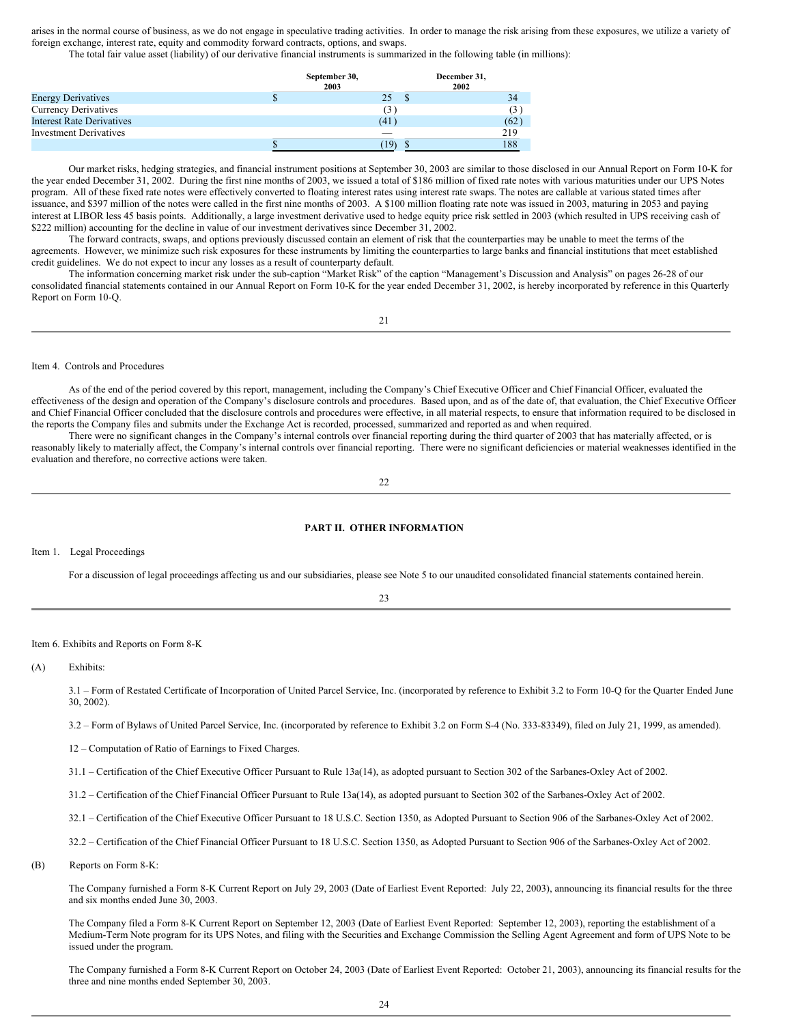arises in the normal course of business, as we do not engage in speculative trading activities. In order to manage the risk arising from these exposures, we utilize a variety of foreign exchange, interest rate, equity and commodity forward contracts, options, and swaps.

The total fair value asset (liability) of our derivative financial instruments is summarized in the following table (in millions):

|                                  | September 30,<br>2003 | December 31,<br>2002 |
|----------------------------------|-----------------------|----------------------|
| <b>Energy Derivatives</b>        | 25                    | 34                   |
| <b>Currency Derivatives</b>      | (3)                   |                      |
| <b>Interest Rate Derivatives</b> | (41)                  | (62)                 |
| <b>Investment Derivatives</b>    | __                    | 219                  |
|                                  | 19 <sup>°</sup>       | 188                  |

Our market risks, hedging strategies, and financial instrument positions at September 30, 2003 are similar to those disclosed in our Annual Report on Form 10-K for the year ended December 31, 2002. During the first nine months of 2003, we issued a total of \$186 million of fixed rate notes with various maturities under our UPS Notes program. All of these fixed rate notes were effectively converted to floating interest rates using interest rate swaps. The notes are callable at various stated times after issuance, and \$397 million of the notes were called in the first nine months of 2003. A \$100 million floating rate note was issued in 2003, maturing in 2053 and paying interest at LIBOR less 45 basis points. Additionally, a large investment derivative used to hedge equity price risk settled in 2003 (which resulted in UPS receiving cash of \$222 million) accounting for the decline in value of our investment derivatives since December 31, 2002.

The forward contracts, swaps, and options previously discussed contain an element of risk that the counterparties may be unable to meet the terms of the agreements. However, we minimize such risk exposures for these instruments by limiting the counterparties to large banks and financial institutions that meet established credit guidelines. We do not expect to incur any losses as a result of counterparty default.

The information concerning market risk under the sub-caption "Market Risk" of the caption "Management's Discussion and Analysis" on pages 26-28 of our consolidated financial statements contained in our Annual Report on Form 10-K for the year ended December 31, 2002, is hereby incorporated by reference in this Quarterly Report on Form 10-Q.

| I |  |
|---|--|

#### Item 4. Controls and Procedures

As of the end of the period covered by this report, management, including the Company's Chief Executive Officer and Chief Financial Officer, evaluated the effectiveness of the design and operation of the Company's disclosure controls and procedures. Based upon, and as of the date of, that evaluation, the Chief Executive Officer and Chief Financial Officer concluded that the disclosure controls and procedures were effective, in all material respects, to ensure that information required to be disclosed in the reports the Company files and submits under the Exchange Act is recorded, processed, summarized and reported as and when required.

There were no significant changes in the Company's internal controls over financial reporting during the third quarter of 2003 that has materially affected, or is reasonably likely to materially affect, the Company's internal controls over financial reporting. There were no significant deficiencies or material weaknesses identified in the evaluation and therefore, no corrective actions were taken.

22

### **PART II. OTHER INFORMATION**

Item 1. Legal Proceedings

For a discussion of legal proceedings affecting us and our subsidiaries, please see Note 5 to our unaudited consolidated financial statements contained herein.

 $23$ 

Item 6. Exhibits and Reports on Form 8-K

(A) Exhibits:

3.1 – Form of Restated Certificate of Incorporation of United Parcel Service, Inc. (incorporated by reference to Exhibit 3.2 to Form 10-Q for the Quarter Ended June 30, 2002).

3.2 – Form of Bylaws of United Parcel Service, Inc. (incorporated by reference to Exhibit 3.2 on Form S-4 (No. 333-83349), filed on July 21, 1999, as amended).

12 – Computation of Ratio of Earnings to Fixed Charges.

31.1 – Certification of the Chief Executive Officer Pursuant to Rule 13a(14), as adopted pursuant to Section 302 of the Sarbanes-Oxley Act of 2002.

31.2 – Certification of the Chief Financial Officer Pursuant to Rule 13a(14), as adopted pursuant to Section 302 of the Sarbanes-Oxley Act of 2002.

32.1 – Certification of the Chief Executive Officer Pursuant to 18 U.S.C. Section 1350, as Adopted Pursuant to Section 906 of the Sarbanes-Oxley Act of 2002.

32.2 – Certification of the Chief Financial Officer Pursuant to 18 U.S.C. Section 1350, as Adopted Pursuant to Section 906 of the Sarbanes-Oxley Act of 2002.

(B) Reports on Form 8-K:

The Company furnished a Form 8-K Current Report on July 29, 2003 (Date of Earliest Event Reported: July 22, 2003), announcing its financial results for the three and six months ended June 30, 2003.

The Company filed a Form 8-K Current Report on September 12, 2003 (Date of Earliest Event Reported: September 12, 2003), reporting the establishment of a Medium-Term Note program for its UPS Notes, and filing with the Securities and Exchange Commission the Selling Agent Agreement and form of UPS Note to be issued under the program.

The Company furnished a Form 8-K Current Report on October 24, 2003 (Date of Earliest Event Reported: October 21, 2003), announcing its financial results for the three and nine months ended September 30, 2003.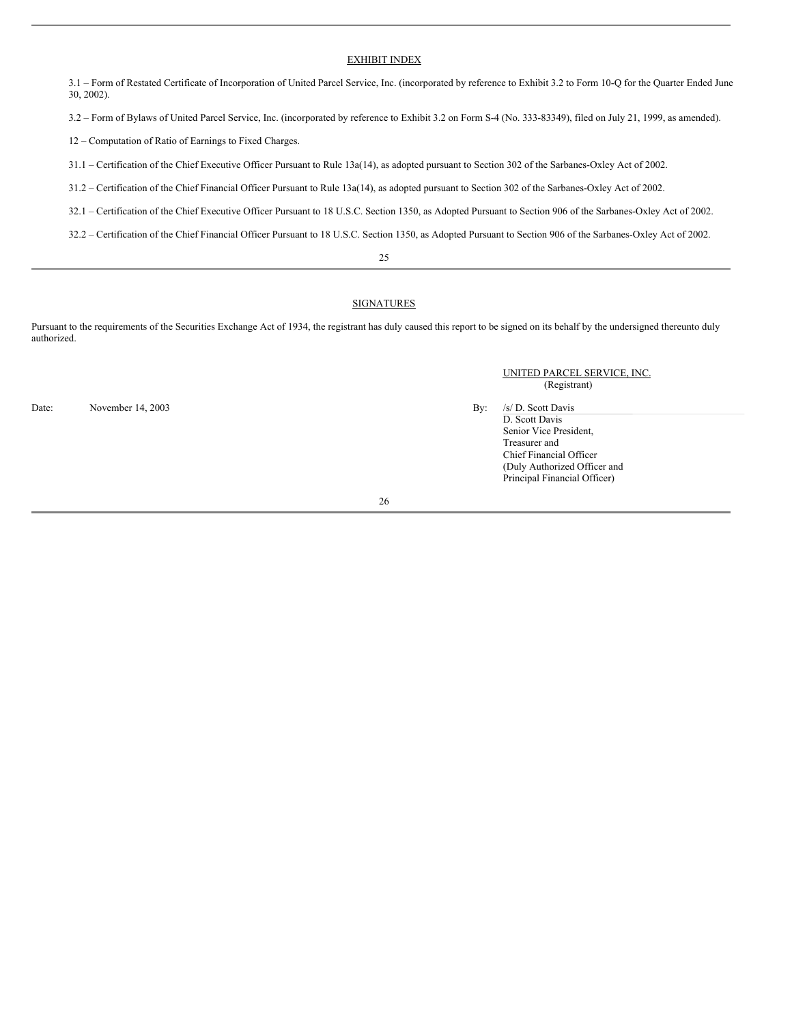### EXHIBIT INDEX

3.1 – Form of Restated Certificate of Incorporation of United Parcel Service, Inc. (incorporated by reference to Exhibit 3.2 to Form 10-Q for the Quarter Ended June 30, 2002).

3.2 – Form of Bylaws of United Parcel Service, Inc. (incorporated by reference to Exhibit 3.2 on Form S-4 (No. 333-83349), filed on July 21, 1999, as amended).

12 – Computation of Ratio of Earnings to Fixed Charges.

31.1 – Certification of the Chief Executive Officer Pursuant to Rule 13a(14), as adopted pursuant to Section 302 of the Sarbanes-Oxley Act of 2002.

31.2 – Certification of the Chief Financial Officer Pursuant to Rule 13a(14), as adopted pursuant to Section 302 of the Sarbanes-Oxley Act of 2002.

32.1 – Certification of the Chief Executive Officer Pursuant to 18 U.S.C. Section 1350, as Adopted Pursuant to Section 906 of the Sarbanes-Oxley Act of 2002.

32.2 – Certification of the Chief Financial Officer Pursuant to 18 U.S.C. Section 1350, as Adopted Pursuant to Section 906 of the Sarbanes-Oxley Act of 2002.

# 25

### **SIGNATURES**

Pursuant to the requirements of the Securities Exchange Act of 1934, the registrant has duly caused this report to be signed on its behalf by the undersigned thereunto duly authorized.

Date: November 14, 2003 By: /s/ D. Scott Davis

# UNITED PARCEL SERVICE, INC. (Registrant)

D. Scott Davis Senior Vice President, Treasurer and Chief Financial Officer (Duly Authorized Officer and Principal Financial Officer)

26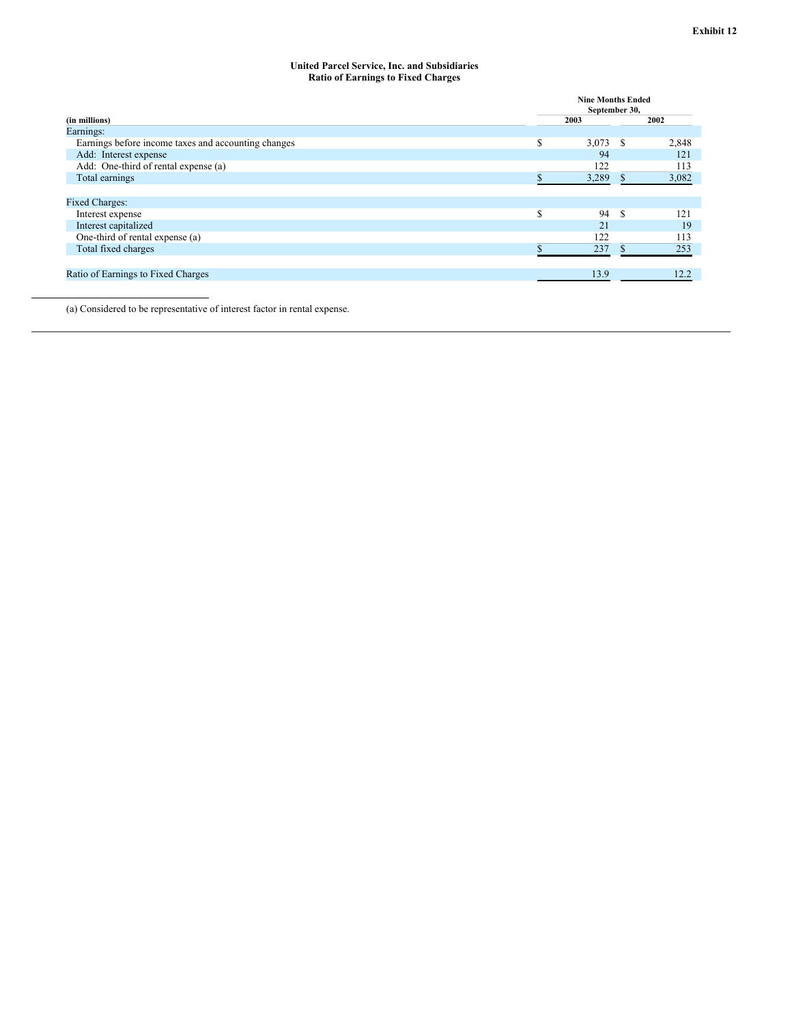# **United Parcel Service, Inc. and Subsidiaries Ratio of Earnings to Fixed Charges**

|                                                     | <b>Nine Months Ended</b><br>September 30, |       |          |       |
|-----------------------------------------------------|-------------------------------------------|-------|----------|-------|
| (in millions)                                       |                                           | 2003  |          | 2002  |
| Earnings:                                           |                                           |       |          |       |
| Earnings before income taxes and accounting changes | \$                                        | 3,073 | S        | 2,848 |
| Add: Interest expense                               |                                           | 94    |          | 121   |
| Add: One-third of rental expense (a)                |                                           | 122   |          | 113   |
| Total earnings                                      |                                           | 3,289 | S        | 3,082 |
|                                                     |                                           |       |          |       |
| <b>Fixed Charges:</b>                               |                                           |       |          |       |
| Interest expense                                    | S                                         | 94    | <b>S</b> | 121   |
| Interest capitalized                                |                                           | 21    |          | 19    |
| One-third of rental expense (a)                     |                                           | 122   |          | 113   |
| Total fixed charges                                 |                                           | 237   |          | 253   |
|                                                     |                                           |       |          |       |
| Ratio of Earnings to Fixed Charges                  |                                           | 13.9  |          | 12.2  |

(a) Considered to be representative of interest factor in rental expense.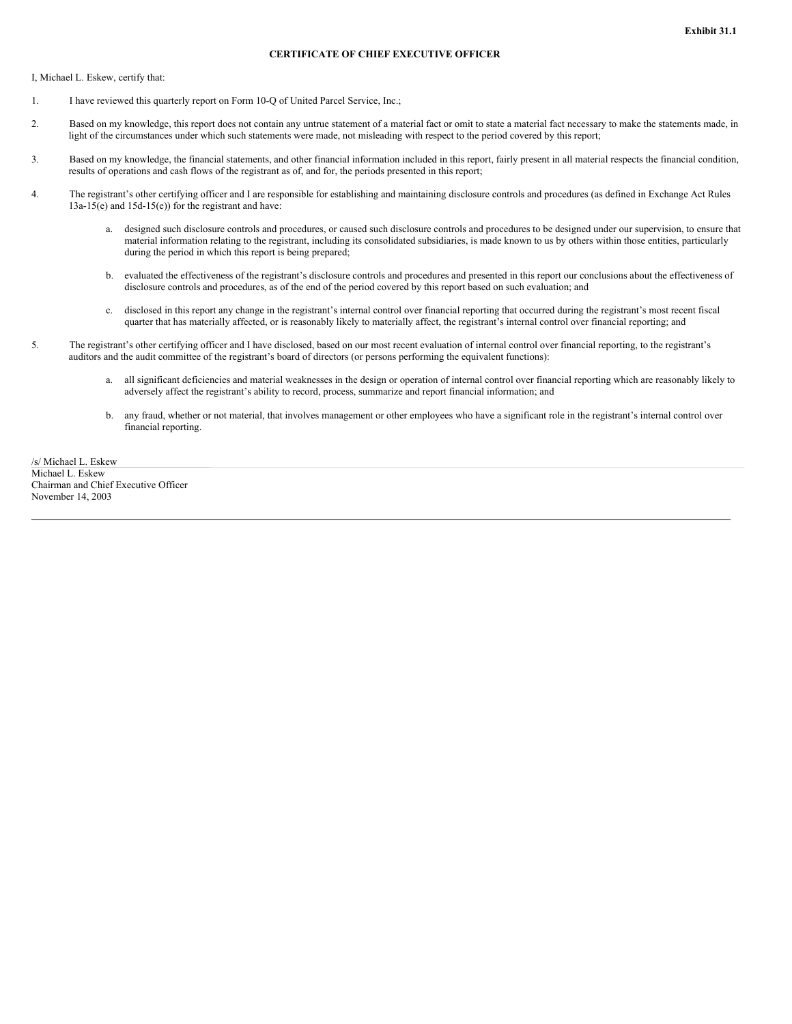# **CERTIFICATE OF CHIEF EXECUTIVE OFFICER**

I, Michael L. Eskew, certify that:

- 1. I have reviewed this quarterly report on Form 10-Q of United Parcel Service, Inc.;
- 2. Based on my knowledge, this report does not contain any untrue statement of a material fact or omit to state a material fact necessary to make the statements made, in light of the circumstances under which such statements were made, not misleading with respect to the period covered by this report;
- 3. Based on my knowledge, the financial statements, and other financial information included in this report, fairly present in all material respects the financial condition, results of operations and cash flows of the registrant as of, and for, the periods presented in this report;
- 4. The registrant's other certifying officer and I are responsible for establishing and maintaining disclosure controls and procedures (as defined in Exchange Act Rules 13a-15(e) and 15d-15(e)) for the registrant and have:
	- a. designed such disclosure controls and procedures, or caused such disclosure controls and procedures to be designed under our supervision, to ensure that material information relating to the registrant, including its consolidated subsidiaries, is made known to us by others within those entities, particularly during the period in which this report is being prepared;
	- b. evaluated the effectiveness of the registrant's disclosure controls and procedures and presented in this report our conclusions about the effectiveness of disclosure controls and procedures, as of the end of the period covered by this report based on such evaluation; and
	- c. disclosed in this report any change in the registrant's internal control over financial reporting that occurred during the registrant's most recent fiscal quarter that has materially affected, or is reasonably likely to materially affect, the registrant's internal control over financial reporting; and
- 5. The registrant's other certifying officer and I have disclosed, based on our most recent evaluation of internal control over financial reporting, to the registrant's auditors and the audit committee of the registrant's board of directors (or persons performing the equivalent functions):
	- a. all significant deficiencies and material weaknesses in the design or operation of internal control over financial reporting which are reasonably likely to adversely affect the registrant's ability to record, process, summarize and report financial information; and
	- b. any fraud, whether or not material, that involves management or other employees who have a significant role in the registrant's internal control over financial reporting.

/s/ Michael L. Eskew Michael L. Eskew Chairman and Chief Executive Officer November 14, 2003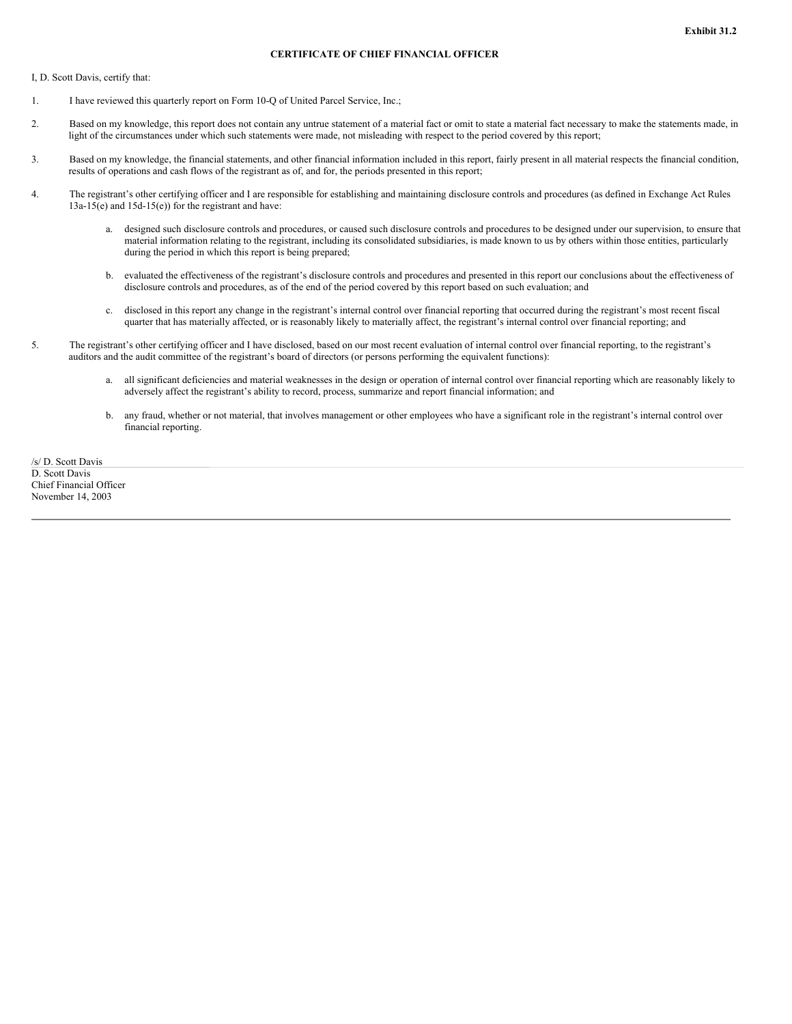# **CERTIFICATE OF CHIEF FINANCIAL OFFICER**

I, D. Scott Davis, certify that:

- 1. I have reviewed this quarterly report on Form 10-Q of United Parcel Service, Inc.;
- 2. Based on my knowledge, this report does not contain any untrue statement of a material fact or omit to state a material fact necessary to make the statements made, in light of the circumstances under which such statements were made, not misleading with respect to the period covered by this report;
- 3. Based on my knowledge, the financial statements, and other financial information included in this report, fairly present in all material respects the financial condition, results of operations and cash flows of the registrant as of, and for, the periods presented in this report;
- 4. The registrant's other certifying officer and I are responsible for establishing and maintaining disclosure controls and procedures (as defined in Exchange Act Rules 13a-15(e) and 15d-15(e)) for the registrant and have:
	- a. designed such disclosure controls and procedures, or caused such disclosure controls and procedures to be designed under our supervision, to ensure that material information relating to the registrant, including its consolidated subsidiaries, is made known to us by others within those entities, particularly during the period in which this report is being prepared;
	- b. evaluated the effectiveness of the registrant's disclosure controls and procedures and presented in this report our conclusions about the effectiveness of disclosure controls and procedures, as of the end of the period covered by this report based on such evaluation; and
	- c. disclosed in this report any change in the registrant's internal control over financial reporting that occurred during the registrant's most recent fiscal quarter that has materially affected, or is reasonably likely to materially affect, the registrant's internal control over financial reporting; and
- 5. The registrant's other certifying officer and I have disclosed, based on our most recent evaluation of internal control over financial reporting, to the registrant's auditors and the audit committee of the registrant's board of directors (or persons performing the equivalent functions):
	- a. all significant deficiencies and material weaknesses in the design or operation of internal control over financial reporting which are reasonably likely to adversely affect the registrant's ability to record, process, summarize and report financial information; and
	- b. any fraud, whether or not material, that involves management or other employees who have a significant role in the registrant's internal control over financial reporting.

/s/ D. Scott Davis D. Scott Davis Chief Financial Officer November 14, 2003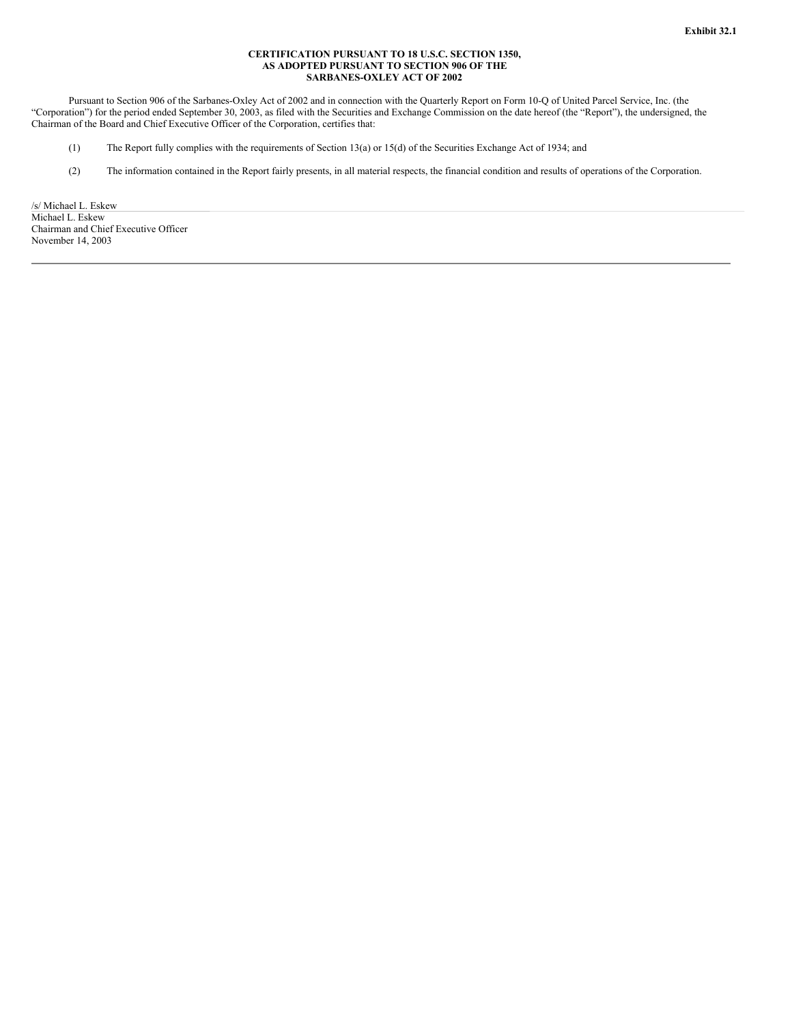### **CERTIFICATION PURSUANT TO 18 U.S.C. SECTION 1350, AS ADOPTED PURSUANT TO SECTION 906 OF THE SARBANES-OXLEY ACT OF 2002**

Pursuant to Section 906 of the Sarbanes-Oxley Act of 2002 and in connection with the Quarterly Report on Form 10-Q of United Parcel Service, Inc. (the "Corporation") for the period ended September 30, 2003, as filed with the Securities and Exchange Commission on the date hereof (the "Report"), the undersigned, the Chairman of the Board and Chief Executive Officer of the Corporation, certifies that:

- (1) The Report fully complies with the requirements of Section 13(a) or 15(d) of the Securities Exchange Act of 1934; and
- (2) The information contained in the Report fairly presents, in all material respects, the financial condition and results of operations of the Corporation.

/s/ Michael L. Eskew Michael L. Eskew Chairman and Chief Executive Officer November 14, 2003